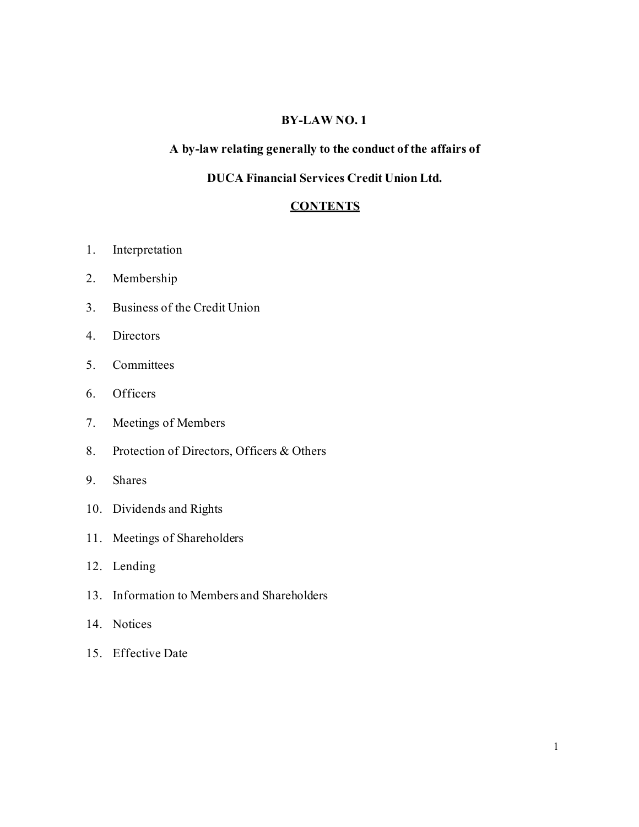#### **BY-LAW NO. 1**

## **A by-law relating generally to the conduct of the affairs of**

## **DUCA Financial Services Credit Union Ltd.**

#### **CONTENTS**

- 1. Interpretation
- 2. Membership
- 3. Business of the Credit Union
- 4. Directors
- 5. Committees
- 6. Officers
- 7. Meetings of Members
- 8. Protection of Directors, Officers & Others
- 9. Shares
- 10. Dividends and Rights
- 11. Meetings of Shareholders
- 12. Lending
- 13. Information to Members and Shareholders
- 14. Notices
- 15. Effective Date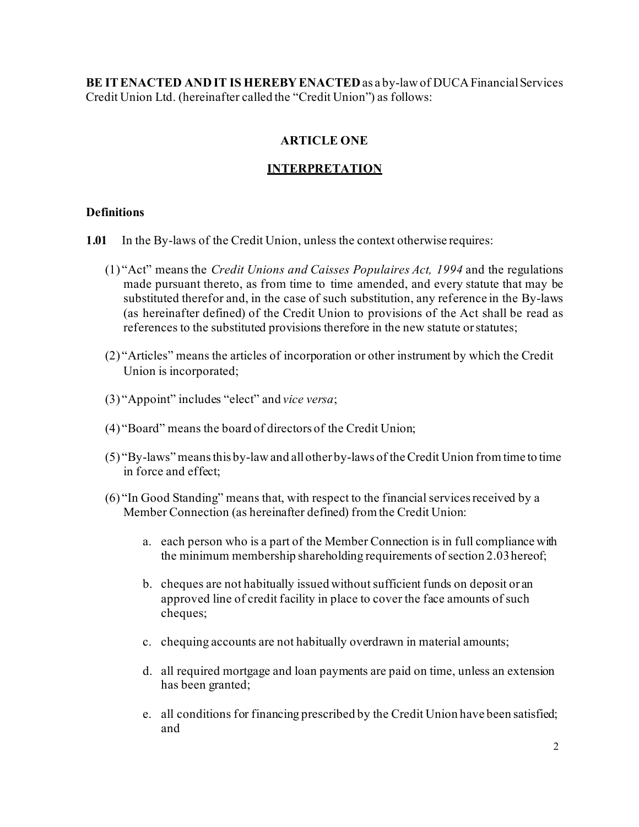**BE ITENACTED AND IT IS HEREBYENACTED**as a by-law of DUCA FinancialServices Credit Union Ltd. (hereinafter called the "Credit Union") as follows:

## **ARTICLE ONE**

#### **INTERPRETATION**

#### **Definitions**

- **1.01** In the By-laws of the Credit Union, unless the context otherwise requires:
	- (1) "Act" means the *Credit Unions and Caisses Populaires Act, 1994* and the regulations made pursuant thereto, as from time to time amended, and every statute that may be substituted therefor and, in the case of such substitution, any reference in the By-laws (as hereinafter defined) of the Credit Union to provisions of the Act shall be read as references to the substituted provisions therefore in the new statute orstatutes;
	- (2) "Articles" means the articles of incorporation or other instrument by which the Credit Union is incorporated;
	- (3) "Appoint" includes "elect" and *vice versa*;
	- (4) "Board" means the board of directors of the Credit Union;
	- (5) "By-laws" meansthis by-law and allother by-laws of theCredit Union from time to time in force and effect;
	- (6) "In Good Standing" means that, with respect to the financial services received by a Member Connection (as hereinafter defined) from the Credit Union:
		- a. each person who is a part of the Member Connection is in full compliance with the minimum membership shareholding requirements of section 2.03hereof;
		- b. cheques are not habitually issued without sufficient funds on deposit or an approved line of credit facility in place to cover the face amounts of such cheques;
		- c. chequing accounts are not habitually overdrawn in material amounts;
		- d. all required mortgage and loan payments are paid on time, unless an extension has been granted;
		- e. all conditions for financing prescribed by the Credit Union have been satisfied; and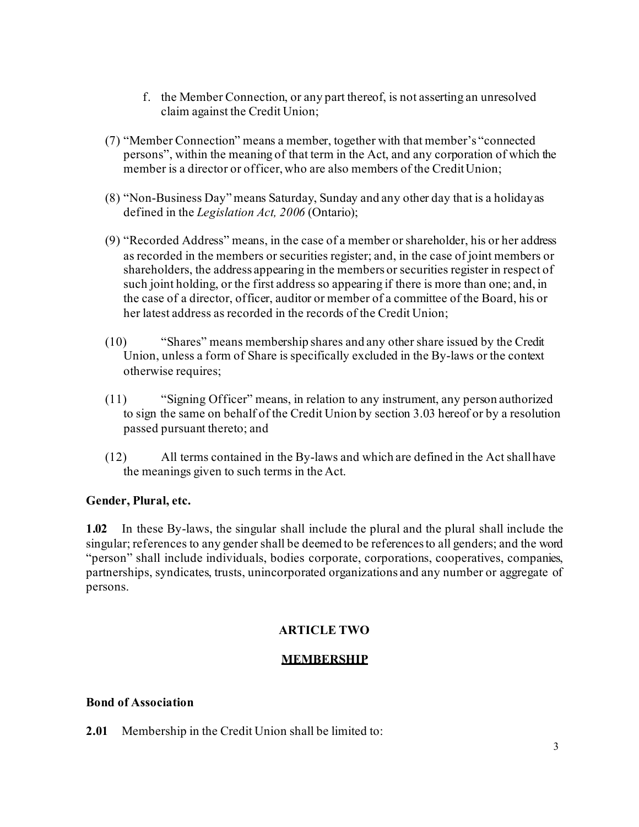- f. the Member Connection, or any part thereof, is not asserting an unresolved claim against the Credit Union;
- (7) "Member Connection" means a member, together with that member's "connected persons", within the meaning of that term in the Act, and any corporation of which the member is a director or officer, who are also members of the CreditUnion;
- (8) "Non-Business Day" means Saturday, Sunday and any other day that is a holidayas defined in the *Legislation Act, 2006* (Ontario);
- (9) "Recorded Address" means, in the case of a member or shareholder, his or her address as recorded in the members or securities register; and, in the case of joint members or shareholders, the address appearing in the members or securities register in respect of such joint holding, or the first address so appearing if there is more than one; and, in the case of a director, officer, auditor or member of a committee of the Board, his or her latest address as recorded in the records of the Credit Union;
- (10) "Shares" means membership shares and any other share issued by the Credit Union, unless a form of Share is specifically excluded in the By-laws or the context otherwise requires;
- (11) "Signing Officer" means, in relation to any instrument, any person authorized to sign the same on behalf of the Credit Union by section 3.03 hereof or by a resolution passed pursuant thereto; and
- (12) All terms contained in the By-laws and which are defined in the Act shallhave the meanings given to such terms in the Act.

## **Gender, Plural, etc.**

**1.02** In these By-laws, the singular shall include the plural and the plural shall include the singular; references to any gender shall be deemed to be referencesto all genders; and the word "person" shall include individuals, bodies corporate, corporations, cooperatives, companies, partnerships, syndicates, trusts, unincorporated organizations and any number or aggregate of persons.

## **ARTICLE TWO**

## **MEMBERSHIP**

#### **Bond of Association**

**2.01** Membership in the Credit Union shall be limited to: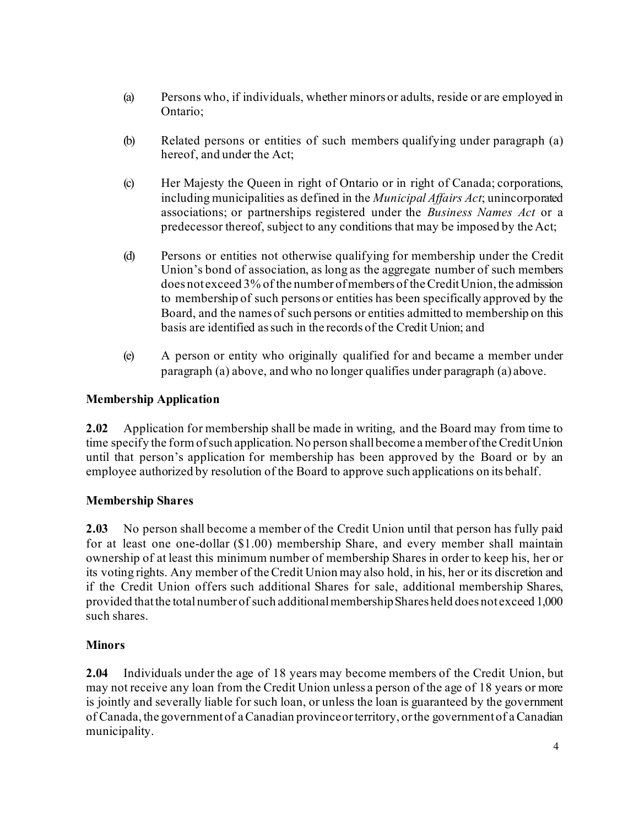- (a) Persons who, if individuals, whether minors or adults, reside or are employed in Ontario;
- (b) Related persons or entities of such members qualifying under paragraph (a) hereof, and under the Act;
- (c) Her Majesty the Queen in right of Ontario or in right of Canada; corporations, including municipalities as defined in the *Municipal Affairs Act*; unincorporated associations; or partnerships registered under the *Business Names Act* or a predecessor thereof, subject to any conditions that may be imposed by the Act;
- (d) Persons or entities not otherwise qualifying for membership under the Credit Union's bond of association, as long as the aggregate number of such members does not exceed 3% of the number ofmembers of theCreditUnion, the admission to membership of such persons or entities has been specifically approved by the Board, and the names of such persons or entities admitted to membership on this basis are identified assuch in the records of the Credit Union; and
- (e) A person or entity who originally qualified for and became a member under paragraph (a) above, and who no longer qualifies under paragraph (a) above.

# **Membership Application**

**2.02** Application for membership shall be made in writing, and the Board may from time to time specify the form of such application. No person shall become a member of the Credit Union until that person's application for membership has been approved by the Board or by an employee authorized by resolution of the Board to approve such applications on its behalf.

# **Membership Shares**

**2.03** No person shall become a member of the Credit Union until that person has fully paid for at least one one-dollar (\$1.00) membership Share, and every member shall maintain ownership of at least this minimum number of membership Shares in order to keep his, her or its voting rights. Any member of the Credit Union may also hold, in his, her or its discretion and if the Credit Union offers such additional Shares for sale, additional membership Shares, provided thatthe totalnumber of such additionalmembershipShares held does not exceed 1,000 such shares.

# **Minors**

**2.04** Individuals under the age of 18 years may become members of the Credit Union, but may not receive any loan from the Credit Union unless a person of the age of 18 years or more is jointly and severally liable for such loan, or unless the loan is guaranteed by the government of Canada, the governmentof aCanadian provinceorterritory, orthe governmentof aCanadian municipality.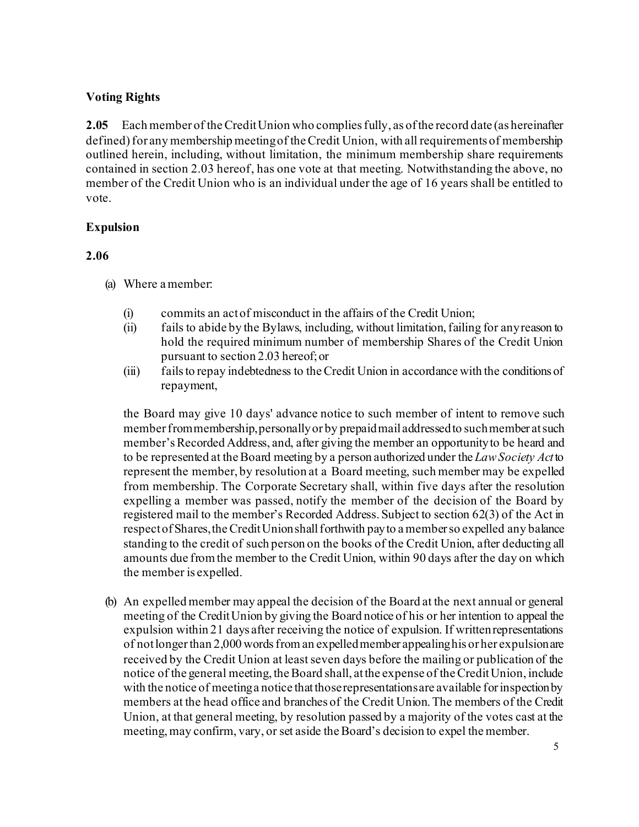## **Voting Rights**

**2.05** Each member of theCreditUnion who compliesfully, as ofthe record date (as hereinafter defined) for any membership meeting of the Credit Union, with all requirements of membership outlined herein, including, without limitation, the minimum membership share requirements contained in section 2.03 hereof, has one vote at that meeting. Notwithstanding the above, no member of the Credit Union who is an individual under the age of 16 years shall be entitled to vote.

## **Expulsion**

## **2.06**

- (a) Where a member:
	- (i) commits an actof misconduct in the affairs of the Credit Union;
	- (ii) fails to abide by the Bylaws, including, without limitation,failing for anyreason to hold the required minimum number of membership Shares of the Credit Union pursuant to section 2.03 hereof;or
	- (iii) failsto repay indebtedness to theCredit Union in accordance with the conditions of repayment,

the Board may give 10 days' advance notice to such member of intent to remove such member from membership, personally or by prepaid mail addressed to such member at such member's Recorded Address, and, after giving the member an opportunity to be heard and to be represented at theBoard meeting by a person authorized under the *LawSociety Act*to represent the member, by resolution at a Board meeting, such member may be expelled from membership. The Corporate Secretary shall, within five days after the resolution expelling a member was passed, notify the member of the decision of the Board by registered mail to the member's Recorded Address. Subject to section 62(3) of the Act in respect of Shares, the Credit Union shall forthwith pay to a member so expelled any balance standing to the credit of such person on the books of the Credit Union, after deducting all amounts due from the member to the Credit Union, within 90 days after the day on which the member is expelled.

(b) An expelled member may appeal the decision of the Board at the next annual or general meeting of the CreditUnion by giving the Board notice of his or her intention to appeal the expulsion within 21 days after receiving the notice of expulsion. If writtenrepresentations of notlongerthan 2,000 wordsfroman expelledmember appealinghis or her expulsionare received by the Credit Union at least seven days before the mailing or publication of the notice of the general meeting, the Board shall, at the expense of the Credit Union, include with the notice of meeting a notice that those representations are available for inspection by members at the head office and branches of the Credit Union. The members of the Credit Union, at that general meeting, by resolution passed by a majority of the votes cast at the meeting, may confirm, vary, or set aside the Board's decision to expel the member.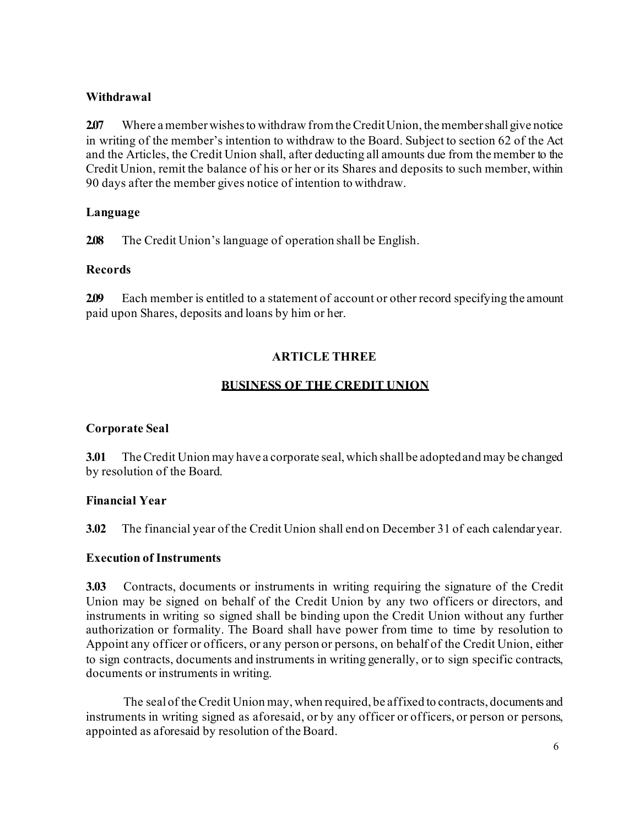## **Withdrawal**

**2.07** Where a member wishes to withdraw from the Credit Union, the member shall give notice in writing of the member's intention to withdraw to the Board. Subject to section 62 of the Act and the Articles, the Credit Union shall, after deducting all amounts due from the member to the Credit Union, remit the balance of his or her or its Shares and deposits to such member, within 90 days after the member gives notice of intention to withdraw.

## **Language**

**2.08** The Credit Union's language of operation shall be English.

## **Records**

**2.09** Each member is entitled to a statement of account or other record specifying the amount paid upon Shares, deposits and loans by him or her.

# **ARTICLE THREE**

# **BUSINESS OF THE CREDIT UNION**

# **Corporate Seal**

**3.01** TheCredit Union may have a corporate seal, which shallbe adoptedand may be changed by resolution of the Board.

# **Financial Year**

**3.02** The financial year of the Credit Union shall end on December 31 of each calendar year.

## **Execution of Instruments**

**3.03** Contracts, documents or instruments in writing requiring the signature of the Credit Union may be signed on behalf of the Credit Union by any two officers or directors, and instruments in writing so signed shall be binding upon the Credit Union without any further authorization or formality. The Board shall have power from time to time by resolution to Appoint any officer or officers, or any person or persons, on behalf of the Credit Union, either to sign contracts, documents and instruments in writing generally, or to sign specific contracts, documents or instruments in writing.

The sealof theCredit Union may, when required, be affixed to contracts, documents and instruments in writing signed as aforesaid, or by any officer or officers, or person or persons, appointed as aforesaid by resolution of the Board.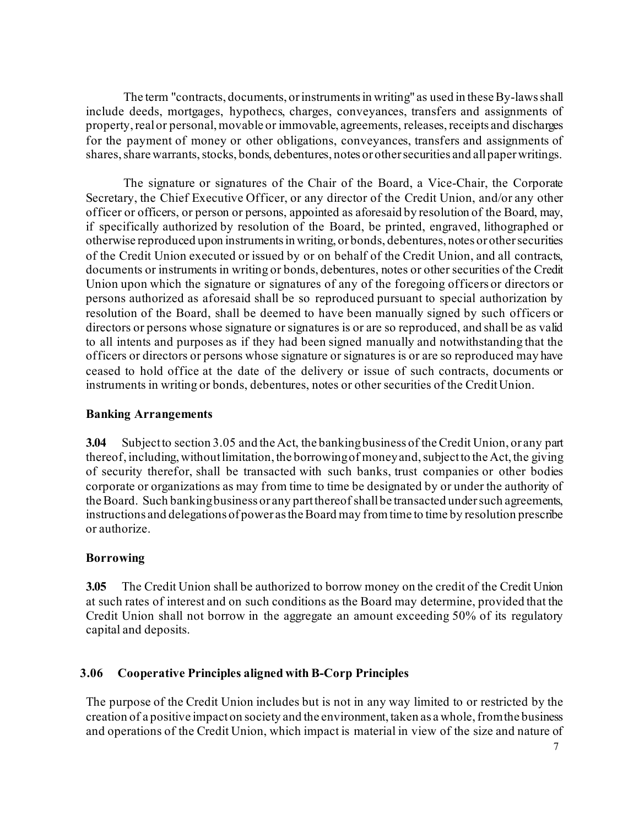The term "contracts, documents, or instruments in writing" as used in these By-laws shall include deeds, mortgages, hypothecs, charges, conveyances, transfers and assignments of property, real or personal, movable or immovable, agreements, releases, receipts and discharges for the payment of money or other obligations, conveyances, transfers and assignments of shares, share warrants, stocks, bonds, debentures, notes or other securities and all paper writings.

The signature or signatures of the Chair of the Board, a Vice-Chair, the Corporate Secretary, the Chief Executive Officer, or any director of the Credit Union, and/or any other officer or officers, or person or persons, appointed as aforesaid by resolution of the Board, may, if specifically authorized by resolution of the Board, be printed, engraved, lithographed or otherwise reproduced upon instrumentsin writing, or bonds, debentures, notes or othersecurities of the Credit Union executed or issued by or on behalf of the Credit Union, and all contracts, documents or instruments in writing or bonds, debentures, notes or other securities of the Credit Union upon which the signature or signatures of any of the foregoing officers or directors or persons authorized as aforesaid shall be so reproduced pursuant to special authorization by resolution of the Board, shall be deemed to have been manually signed by such officers or directors or persons whose signature or signatures is or are so reproduced, and shall be as valid to all intents and purposes as if they had been signed manually and notwithstanding that the officers or directors or persons whose signature or signatures is or are so reproduced may have ceased to hold office at the date of the delivery or issue of such contracts, documents or instruments in writing or bonds, debentures, notes or other securities of the CreditUnion.

#### **Banking Arrangements**

**3.04** Subjectto section 3.05 and the Act, the bankingbusiness of theCredit Union, or any part thereof, including, without limitation, the borrowing of money and, subject to the Act, the giving of security therefor, shall be transacted with such banks, trust companies or other bodies corporate or organizations as may from time to time be designated by or under the authority of the Board. Such banking business or any part thereof shall be transacted under such agreements, instructions and delegations of power as the Board may from time to time by resolution prescribe or authorize.

## **Borrowing**

**3.05** The Credit Union shall be authorized to borrow money on the credit of the Credit Union at such rates of interest and on such conditions as the Board may determine, provided that the Credit Union shall not borrow in the aggregate an amount exceeding 50% of its regulatory capital and deposits.

## **3.06 Cooperative Principles aligned with B-Corp Principles**

The purpose of the Credit Union includes but is not in any way limited to or restricted by the creation of a positive impact on society and the environment, taken as a whole, from the business and operations of the Credit Union, which impact is material in view of the size and nature of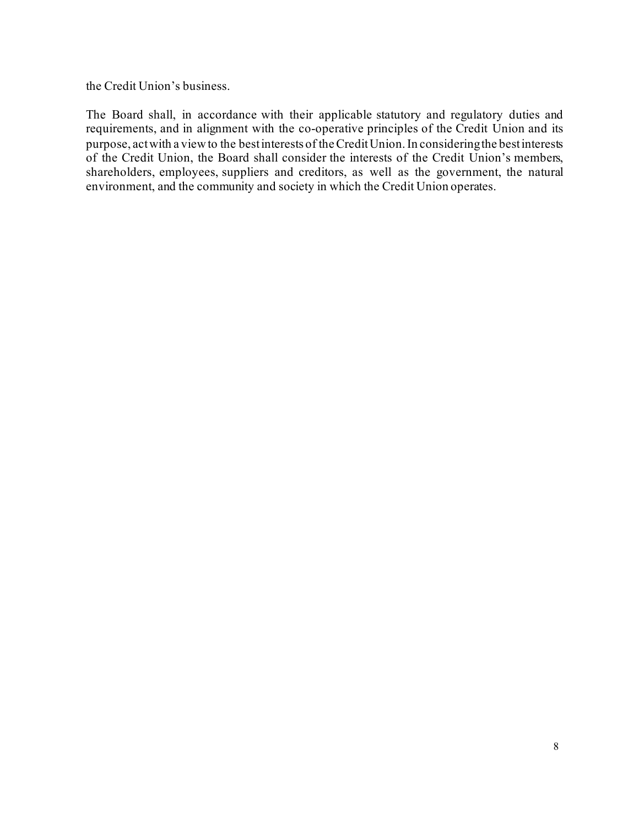the Credit Union's business.

The Board shall, in accordance with their applicable statutory and regulatory duties and requirements, and in alignment with the co-operative principles of the Credit Union and its purpose, act with a view to the best interests of the Credit Union. In considering the best interests of the Credit Union, the Board shall consider the interests of the Credit Union's members, shareholders, employees, suppliers and creditors, as well as the government, the natural environment, and the community and society in which the Credit Union operates.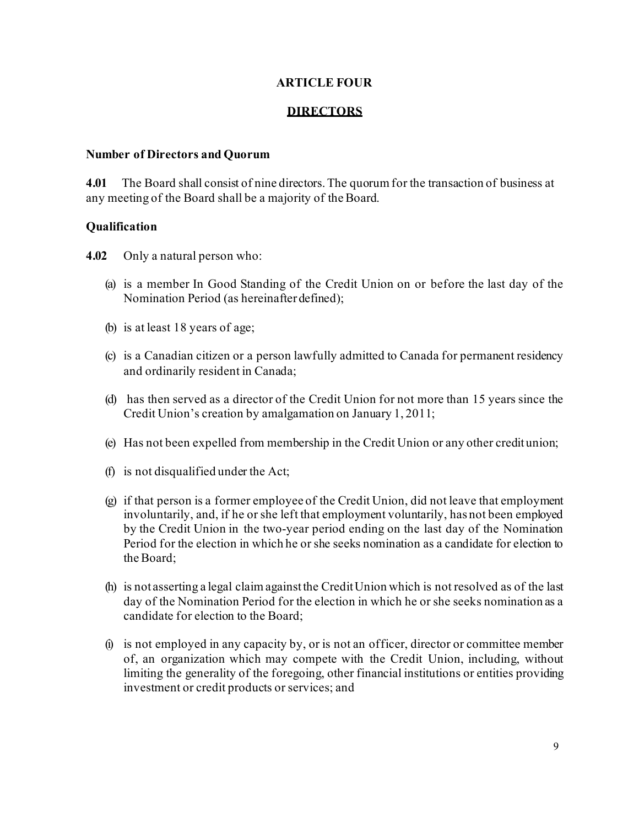#### **ARTICLE FOUR**

#### **DIRECTORS**

#### **Number of Directors and Quorum**

**4.01** The Board shall consist of nine directors. The quorum for the transaction of business at any meeting of the Board shall be a majority of the Board.

#### **Qualification**

- **4.02** Only a natural person who:
	- (a) is a member In Good Standing of the Credit Union on or before the last day of the Nomination Period (as hereinafter defined);
	- (b) is at least 18 years of age;
	- (c) is a Canadian citizen or a person lawfully admitted to Canada for permanent residency and ordinarily resident in Canada;
	- (d) has then served as a director of the Credit Union for not more than 15 years since the Credit Union's creation by amalgamation on January 1, 2011;
	- (e) Has not been expelled from membership in the Credit Union or any other credit union;
	- (f) is not disqualified under the Act;
	- (g) if that person is a former employee of the Credit Union, did not leave that employment involuntarily, and, if he or she left that employment voluntarily, has not been employed by the Credit Union in the two-year period ending on the last day of the Nomination Period for the election in which he or she seeks nomination as a candidate for election to theBoard;
	- (h) is not asserting a legal claimagainstthe CreditUnion which is not resolved as of the last day of the Nomination Period for the election in which he or she seeks nomination as a candidate for election to the Board;
	- (i) is not employed in any capacity by, or is not an officer, director or committee member of, an organization which may compete with the Credit Union, including, without limiting the generality of the foregoing, other financial institutions or entities providing investment or credit products or services; and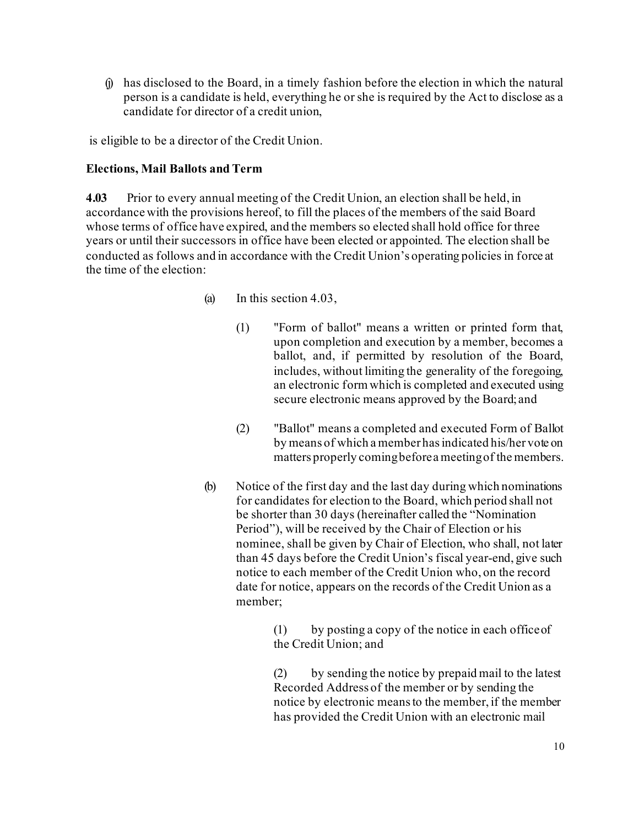(j) has disclosed to the Board, in a timely fashion before the election in which the natural person is a candidate is held, everything he or she is required by the Act to disclose as a candidate for director of a credit union,

is eligible to be a director of the Credit Union.

#### **Elections, Mail Ballots and Term**

**4.03** Prior to every annual meeting of the Credit Union, an election shall be held, in accordance with the provisions hereof, to fill the places of the members of the said Board whose terms of office have expired, and the members so elected shall hold office for three years or until their successors in office have been elected or appointed. The election shall be conducted as follows and in accordance with the Credit Union's operating policies in force at the time of the election:

- (a) In this section 4.03,
	- (1) "Form of ballot" means a written or printed form that, upon completion and execution by a member, becomes a ballot, and, if permitted by resolution of the Board, includes, without limiting the generality of the foregoing, an electronic form which is completed and executed using secure electronic means approved by the Board; and
	- (2) "Ballot" means a completed and executed Form of Ballot by means of which a member hasindicated his/her vote on matters properly comingbeforea meetingof the members.
- (b) Notice of the first day and the last day during which nominations for candidates for election to the Board, which period shall not be shorter than 30 days (hereinafter called the "Nomination Period"), will be received by the Chair of Election or his nominee, shall be given by Chair of Election, who shall, not later than 45 days before the Credit Union's fiscal year-end, give such notice to each member of the Credit Union who, on the record date for notice, appears on the records of the Credit Union as a member;

(1) by posting a copy of the notice in each officeof the Credit Union; and

(2) by sending the notice by prepaid mail to the latest Recorded Address of the member or by sending the notice by electronic means to the member, if the member has provided the Credit Union with an electronic mail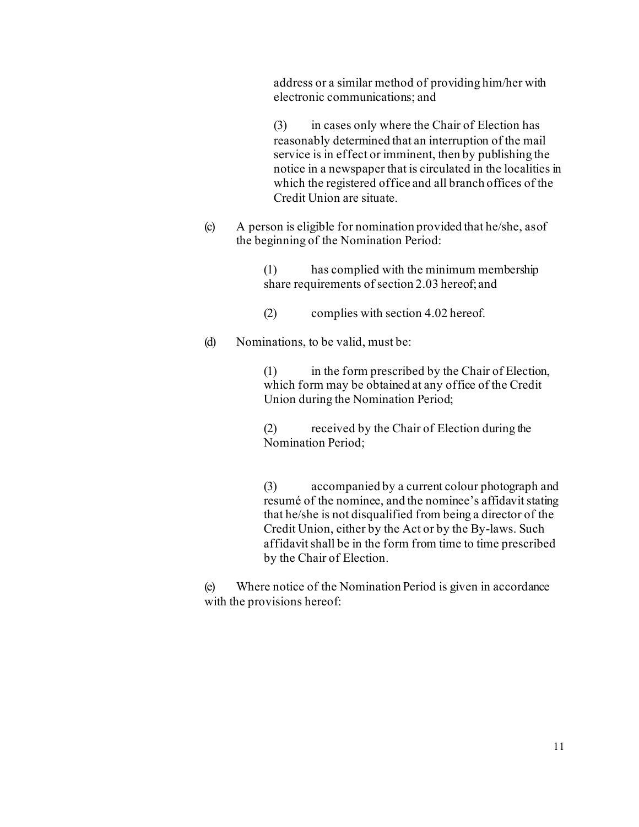address or a similar method of providing him/her with electronic communications; and

(3) in cases only where the Chair of Election has reasonably determined that an interruption of the mail service is in effect or imminent, then by publishing the notice in a newspaper that is circulated in the localities in which the registered office and all branch offices of the Credit Union are situate.

(c) A person is eligible for nomination provided that he/she, asof the beginning of the Nomination Period:

> (1) has complied with the minimum membership share requirements of section 2.03 hereof; and

- (2) complies with section 4.02 hereof.
- (d) Nominations, to be valid, must be:

(1) in the form prescribed by the Chair of Election, which form may be obtained at any office of the Credit Union during the Nomination Period;

(2) received by the Chair of Election during the Nomination Period;

(3) accompanied by a current colour photograph and resumé of the nominee, and the nominee's affidavit stating that he/she is not disqualified from being a director of the Credit Union, either by the Act or by the By-laws. Such affidavit shall be in the form from time to time prescribed by the Chair of Election.

(e) Where notice of the Nomination Period is given in accordance with the provisions hereof: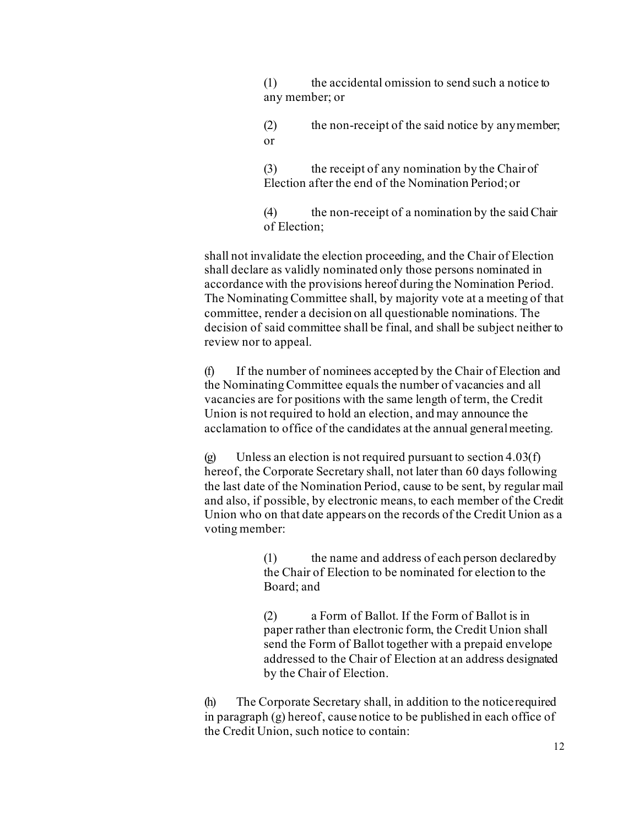(1) the accidental omission to send such a notice to any member; or

(2) the non-receipt of the said notice by anymember; or

(3) the receipt of any nomination by the Chair of Election after the end of the Nomination Period;or

(4) the non-receipt of a nomination by the said Chair of Election;

shall not invalidate the election proceeding, and the Chair of Election shall declare as validly nominated only those persons nominated in accordance with the provisions hereof during the Nomination Period. The Nominating Committee shall, by majority vote at a meeting of that committee, render a decision on all questionable nominations. The decision of said committee shall be final, and shall be subject neither to review nor to appeal.

(f) If the number of nominees accepted by the Chair of Election and the Nominating Committee equals the number of vacancies and all vacancies are for positions with the same length of term, the Credit Union is not required to hold an election, and may announce the acclamation to office of the candidates at the annual generalmeeting.

(g) Unless an election is not required pursuant to section  $4.03(f)$ hereof, the Corporate Secretary shall, not later than 60 days following the last date of the Nomination Period, cause to be sent, by regular mail and also, if possible, by electronic means, to each member of the Credit Union who on that date appears on the records of the Credit Union as a voting member:

> (1) the name and address of each person declaredby the Chair of Election to be nominated for election to the Board; and

> (2) a Form of Ballot. If the Form of Ballot is in paper rather than electronic form, the Credit Union shall send the Form of Ballot together with a prepaid envelope addressed to the Chair of Election at an address designated by the Chair of Election.

(h) The Corporate Secretary shall, in addition to the noticerequired in paragraph (g) hereof, cause notice to be published in each office of the Credit Union, such notice to contain: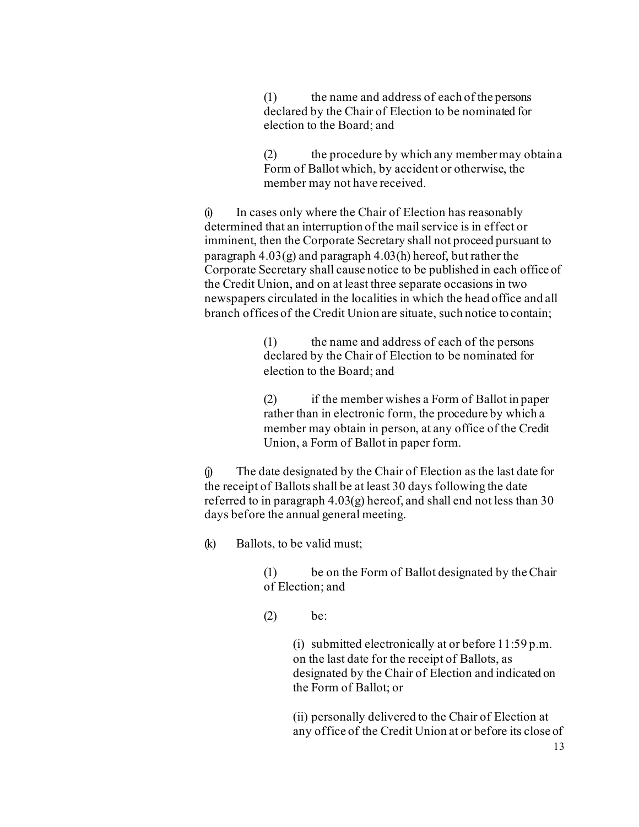(1) the name and address of each of the persons declared by the Chair of Election to be nominated for election to the Board; and

(2) the procedure by which any member may obtaina Form of Ballot which, by accident or otherwise, the member may not have received.

(i) In cases only where the Chair of Election has reasonably determined that an interruption of the mail service is in effect or imminent, then the Corporate Secretary shall not proceed pursuant to paragraph 4.03(g) and paragraph 4.03(h) hereof, but rather the Corporate Secretary shall cause notice to be published in each office of the Credit Union, and on at least three separate occasions in two newspapers circulated in the localities in which the head office and all branch offices of the Credit Union are situate, such notice to contain;

> (1) the name and address of each of the persons declared by the Chair of Election to be nominated for election to the Board; and

(2) if the member wishes a Form of Ballot in paper rather than in electronic form, the procedure by which a member may obtain in person, at any office of the Credit Union, a Form of Ballot in paper form.

(j) The date designated by the Chair of Election as the last date for the receipt of Ballots shall be at least 30 days following the date referred to in paragraph  $4.03(g)$  hereof, and shall end not less than 30 days before the annual general meeting.

(k) Ballots, to be valid must;

(1) be on the Form of Ballot designated by theChair of Election; and

(2) be:

(i) submitted electronically at or before 11:59 p.m. on the last date for the receipt of Ballots, as designated by the Chair of Election and indicated on the Form of Ballot; or

(ii) personally delivered to the Chair of Election at any office of the Credit Union at or before its close of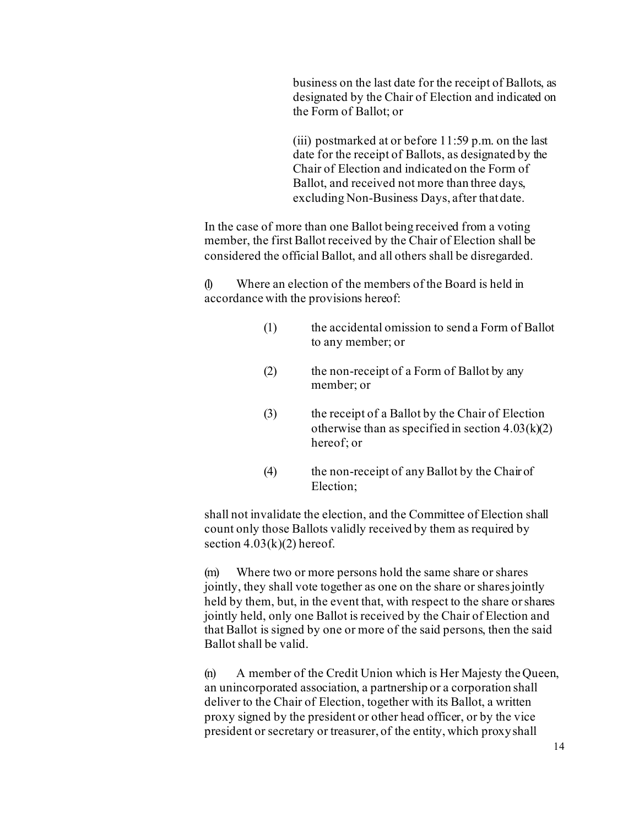business on the last date for the receipt of Ballots, as designated by the Chair of Election and indicated on the Form of Ballot; or

(iii) postmarked at or before 11:59 p.m. on the last date for the receipt of Ballots, as designated by the Chair of Election and indicated on the Form of Ballot, and received not more than three days, excluding Non-Business Days, after thatdate.

In the case of more than one Ballot being received from a voting member, the first Ballot received by the Chair of Election shall be considered the official Ballot, and all others shall be disregarded.

(l) Where an election of the members of the Board is held in accordance with the provisions hereof:

- (1) the accidental omission to send a Form of Ballot to any member; or
- (2) the non-receipt of a Form of Ballot by any member; or
- (3) the receipt of a Ballot by the Chair of Election otherwise than as specified in section  $4.03(k)(2)$ hereof; or
- (4) the non-receipt of any Ballot by the Chair of Election;

shall not invalidate the election, and the Committee of Election shall count only those Ballots validly received by them as required by section  $4.03(k)(2)$  hereof.

(m) Where two or more persons hold the same share or shares jointly, they shall vote together as one on the share or shares jointly held by them, but, in the event that, with respect to the share orshares jointly held, only one Ballot is received by the Chair of Election and that Ballot is signed by one or more of the said persons, then the said Ballot shall be valid.

(n) A member of the Credit Union which is Her Majesty the Queen, an unincorporated association, a partnership or a corporation shall deliver to the Chair of Election, together with its Ballot, a written proxy signed by the president or other head officer, or by the vice president or secretary or treasurer, of the entity, which proxyshall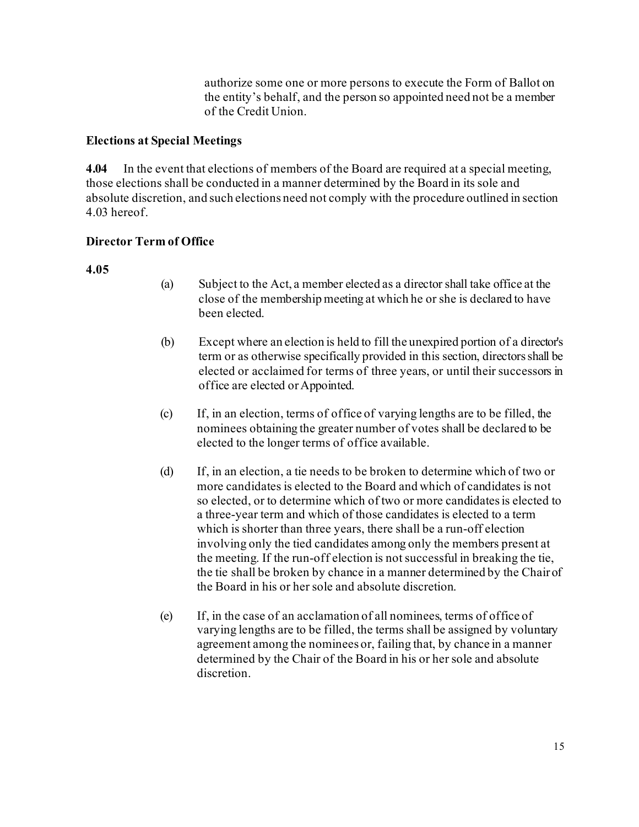authorize some one or more persons to execute the Form of Ballot on the entity's behalf, and the person so appointed need not be a member of the Credit Union.

## **Elections at Special Meetings**

**4.04** In the event that elections of members of the Board are required at a special meeting, those elections shall be conducted in a manner determined by the Board in its sole and absolute discretion, and such elections need not comply with the procedure outlined in section 4.03 hereof.

## **Director Term of Office**

## **4.05**

- (a) Subject to the Act, a member elected as a director shall take office at the close of the membership meeting at which he or she is declared to have been elected.
- (b) Except where an election is held to fill the unexpired portion of a director's term or as otherwise specifically provided in this section, directors shall be elected or acclaimed for terms of three years, or until their successors in office are elected orAppointed.
- (c) If, in an election, terms of office of varying lengths are to be filled, the nominees obtaining the greater number of votes shall be declared to be elected to the longer terms of office available.
- (d) If, in an election, a tie needs to be broken to determine which of two or more candidates is elected to the Board and which of candidates is not so elected, or to determine which of two or more candidates is elected to a three-year term and which of those candidates is elected to a term which is shorter than three years, there shall be a run-off election involving only the tied candidates among only the members present at the meeting. If the run-off election is not successful in breaking the tie, the tie shall be broken by chance in a manner determined by the Chair of the Board in his or her sole and absolute discretion.
- (e) If, in the case of an acclamation of all nominees, terms of office of varying lengths are to be filled, the terms shall be assigned by voluntary agreement among the nominees or, failing that, by chance in a manner determined by the Chair of the Board in his or her sole and absolute discretion.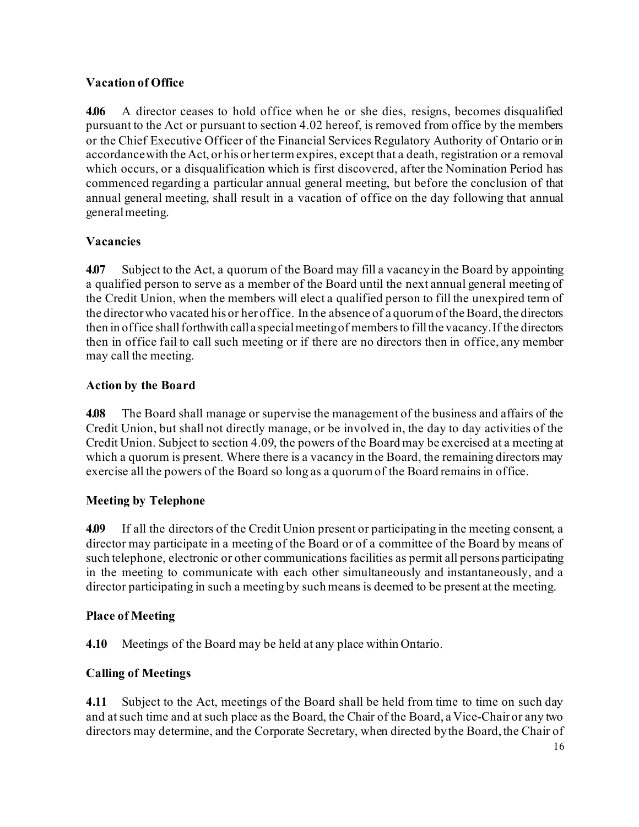## **Vacation of Office**

**4.06** A director ceases to hold office when he or she dies, resigns, becomes disqualified pursuant to the Act or pursuant to section 4.02 hereof, is removed from office by the members or the Chief Executive Officer of the Financial Services Regulatory Authority of Ontario orin accordancewith the Act, or his or hertermexpires, except that a death, registration or a removal which occurs, or a disqualification which is first discovered, after the Nomination Period has commenced regarding a particular annual general meeting, but before the conclusion of that annual general meeting, shall result in a vacation of office on the day following that annual generalmeeting.

## **Vacancies**

**4.07** Subject to the Act, a quorum of the Board may fill a vacancyin the Board by appointing a qualified person to serve as a member of the Board until the next annual general meeting of the Credit Union, when the members will elect a qualified person to fill the unexpired term of the directorwho vacated his or her office. In the absence of a quorum of theBoard, the directors then in office shall forthwith call a special meeting of members to fill the vacancy. If the directors then in office fail to call such meeting or if there are no directors then in office, any member may call the meeting.

## **Action by the Board**

**4.08** The Board shall manage or supervise the management of the business and affairs of the Credit Union, but shall not directly manage, or be involved in, the day to day activities of the Credit Union. Subject to section 4.09, the powers of the Board may be exercised at a meeting at which a quorum is present. Where there is a vacancy in the Board, the remaining directors may exercise all the powers of the Board so long as a quorum of the Board remains in office.

## **Meeting by Telephone**

**4.09** If all the directors of the Credit Union present or participating in the meeting consent, a director may participate in a meeting of the Board or of a committee of the Board by means of such telephone, electronic or other communications facilities as permit all persons participating in the meeting to communicate with each other simultaneously and instantaneously, and a director participating in such a meeting by such means is deemed to be present at the meeting.

## **Place of Meeting**

**4.10** Meetings of the Board may be held at any place within Ontario.

## **Calling of Meetings**

**4.11** Subject to the Act, meetings of the Board shall be held from time to time on such day and atsuch time and atsuch place as the Board, the Chair of the Board, a Vice-Chair or any two directors may determine, and the Corporate Secretary, when directed bythe Board, the Chair of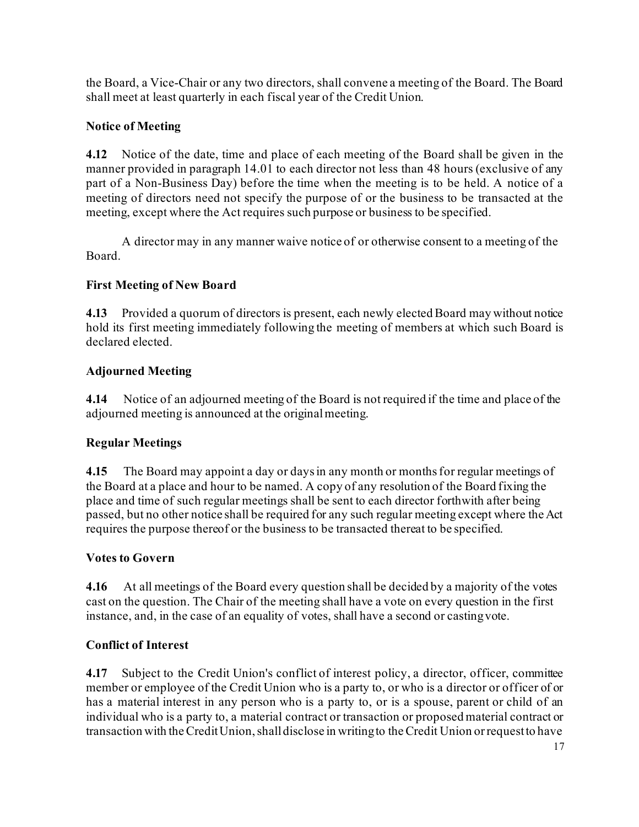the Board, a Vice-Chair or any two directors, shall convene a meeting of the Board. The Board shall meet at least quarterly in each fiscal year of the Credit Union.

# **Notice of Meeting**

**4.12** Notice of the date, time and place of each meeting of the Board shall be given in the manner provided in paragraph 14.01 to each director not less than 48 hours (exclusive of any part of a Non-Business Day) before the time when the meeting is to be held. A notice of a meeting of directors need not specify the purpose of or the business to be transacted at the meeting, except where the Act requires such purpose or business to be specified.

A director may in any manner waive notice of or otherwise consent to a meeting of the Board.

# **First Meeting of New Board**

**4.13** Provided a quorum of directors is present, each newly elected Board may without notice hold its first meeting immediately following the meeting of members at which such Board is declared elected.

# **Adjourned Meeting**

**4.14** Notice of an adjourned meeting of the Board is not required if the time and place of the adjourned meeting is announced at the original meeting.

# **Regular Meetings**

**4.15** The Board may appoint a day or days in any month or months for regular meetings of the Board at a place and hour to be named. A copy of any resolution of the Board fixing the place and time of such regular meetings shall be sent to each director forthwith after being passed, but no other notice shall be required for any such regular meeting except where the Act requires the purpose thereof or the business to be transacted thereat to be specified.

# **Votes to Govern**

**4.16** At all meetings of the Board every question shall be decided by a majority of the votes cast on the question. The Chair of the meeting shall have a vote on every question in the first instance, and, in the case of an equality of votes, shall have a second or castingvote.

# **Conflict of Interest**

**4.17** Subject to the Credit Union's conflict of interest policy, a director, officer, committee member or employee of the Credit Union who is a party to, or who is a director or officer of or has a material interest in any person who is a party to, or is a spouse, parent or child of an individual who is a party to, a material contract or transaction or proposed material contract or transaction with theCreditUnion,shalldisclose in writingto theCredit Union orrequestto have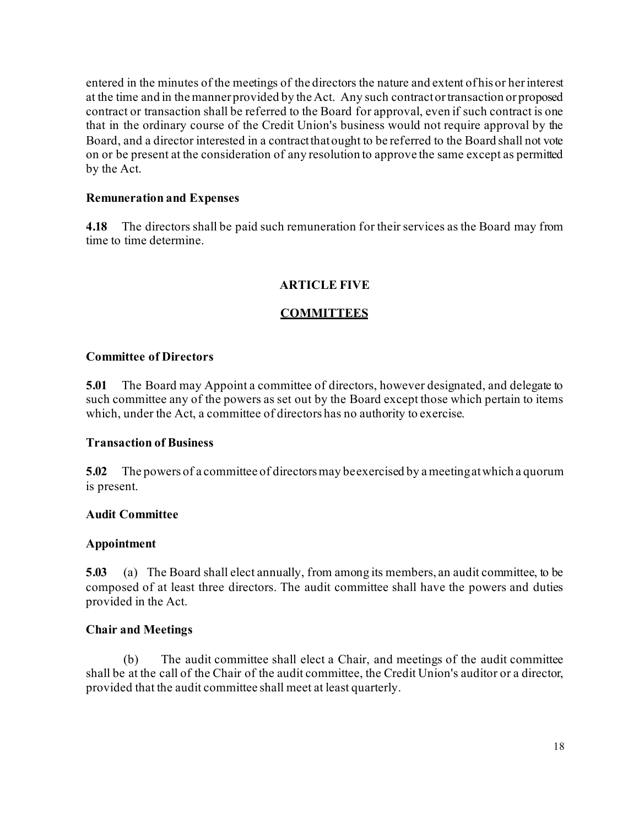entered in the minutes of the meetings of the directors the nature and extent of his or herinterest at the time and in the manner provided by the Act. Any such contractortransaction or proposed contract or transaction shall be referred to the Board for approval, even if such contract is one that in the ordinary course of the Credit Union's business would not require approval by the Board, and a director interested in a contractthatought to be referred to the Board shall not vote on or be present at the consideration of any resolution to approve the same except as permitted by the Act.

#### **Remuneration and Expenses**

**4.18** The directors shall be paid such remuneration for their services as the Board may from time to time determine.

## **ARTICLE FIVE**

## **COMMITTEES**

#### **Committee of Directors**

**5.01** The Board may Appoint a committee of directors, however designated, and delegate to such committee any of the powers as set out by the Board except those which pertain to items which, under the Act, a committee of directors has no authority to exercise.

#### **Transaction of Business**

**5.02** The powers of a committee of directorsmay beexercised by a meetingatwhich a quorum is present.

#### **Audit Committee**

#### **Appointment**

**5.03** (a) The Board shall elect annually, from among its members, an audit committee, to be composed of at least three directors. The audit committee shall have the powers and duties provided in the Act.

#### **Chair and Meetings**

(b) The audit committee shall elect a Chair, and meetings of the audit committee shall be at the call of the Chair of the audit committee, the Credit Union's auditor or a director, provided that the audit committee shall meet at least quarterly.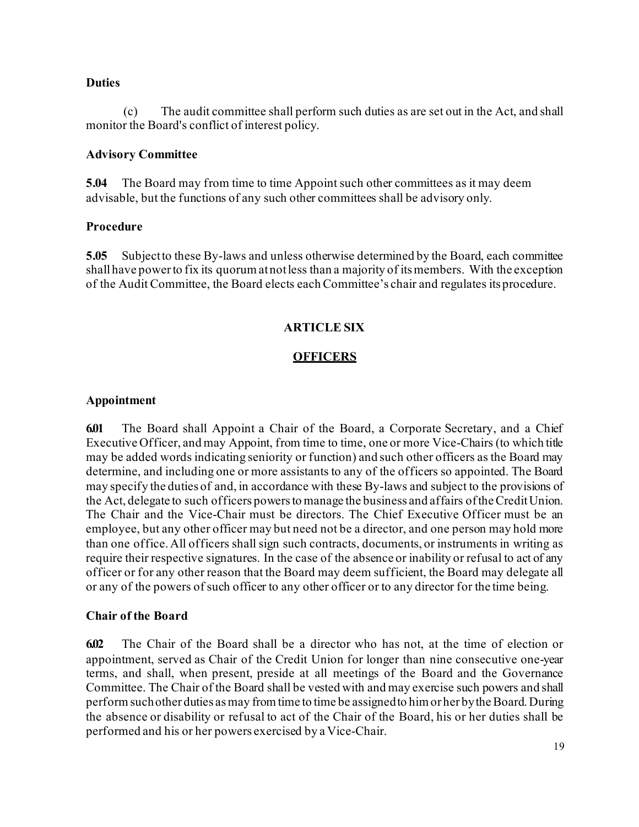#### **Duties**

(c) The audit committee shall perform such duties as are set out in the Act, and shall monitor the Board's conflict of interest policy.

#### **Advisory Committee**

**5.04** The Board may from time to time Appoint such other committees as it may deem advisable, but the functions of any such other committees shall be advisory only.

#### **Procedure**

**5.05** Subjectto these By-laws and unless otherwise determined by the Board, each committee shallhave powerto fix its quorum atnotless than a majority of itsmembers. With the exception of the Audit Committee, the Board elects each Committee's chair and regulates its procedure.

## **ARTICLE SIX**

#### **OFFICERS**

#### **Appointment**

**6.01** The Board shall Appoint a Chair of the Board, a Corporate Secretary, and a Chief Executive Officer, and may Appoint, from time to time, one or more Vice-Chairs (to which title may be added words indicating seniority or function) and such other officers as the Board may determine, and including one or more assistants to any of the officers so appointed. The Board may specify the duties of and, in accordance with these By-laws and subject to the provisions of the Act, delegate to such officers powersto manage the business and affairs oftheCreditUnion. The Chair and the Vice-Chair must be directors. The Chief Executive Officer must be an employee, but any other officer may but need not be a director, and one person may hold more than one office. All officers shall sign such contracts, documents, or instruments in writing as require their respective signatures. In the case of the absence or inability or refusal to act of any officer or for any other reason that the Board may deem sufficient, the Board may delegate all or any of the powers of such officer to any other officer or to any director for the time being.

#### **Chair of the Board**

**6.02** The Chair of the Board shall be a director who has not, at the time of election or appointment, served as Chair of the Credit Union for longer than nine consecutive one-year terms, and shall, when present, preside at all meetings of the Board and the Governance Committee. The Chair of the Board shall be vested with and may exercise such powers and shall perform suchother duties asmay fromtime to time be assignedto himor her bytheBoard. During the absence or disability or refusal to act of the Chair of the Board, his or her duties shall be performed and his or her powers exercised by a Vice-Chair.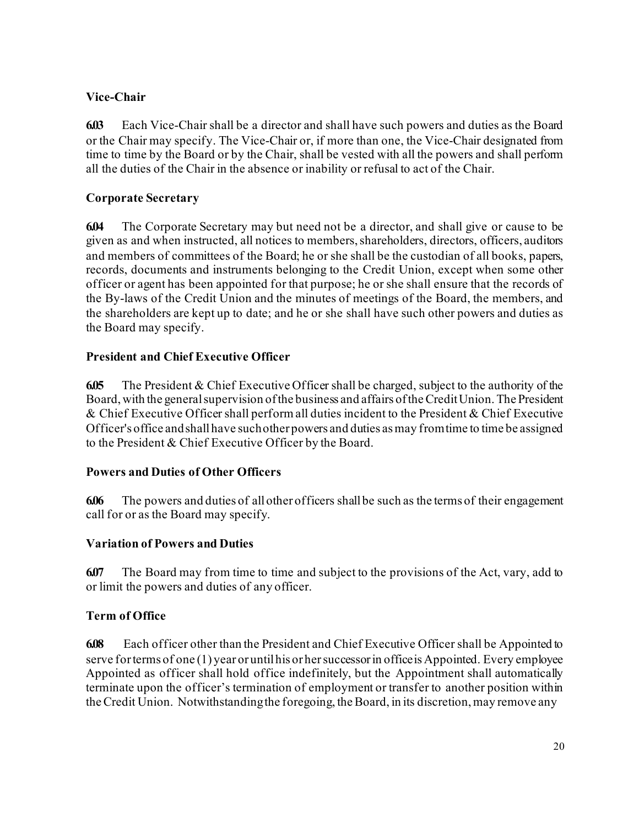# **Vice-Chair**

**6.03** Each Vice-Chair shall be a director and shall have such powers and duties as the Board or the Chair may specify. The Vice-Chair or, if more than one, the Vice-Chair designated from time to time by the Board or by the Chair, shall be vested with all the powers and shall perform all the duties of the Chair in the absence or inability or refusal to act of the Chair.

## **Corporate Secretary**

**6.04** The Corporate Secretary may but need not be a director, and shall give or cause to be given as and when instructed, all notices to members, shareholders, directors, officers, auditors and members of committees of the Board; he or she shall be the custodian of all books, papers, records, documents and instruments belonging to the Credit Union, except when some other officer or agent has been appointed for that purpose; he or she shall ensure that the records of the By-laws of the Credit Union and the minutes of meetings of the Board, the members, and the shareholders are kept up to date; and he or she shall have such other powers and duties as the Board may specify.

## **President and Chief Executive Officer**

**6.05** The President & Chief Executive Officer shall be charged, subject to the authority of the Board, with the general supervision of the business and affairs of the Credit Union. The President & Chief Executive Officer shall perform all duties incident to the President & Chief Executive Officer's office and shall have such other powers and duties as may from time to time be assigned to the President & Chief Executive Officer by the Board.

## **Powers and Duties of Other Officers**

**6.06** The powers and duties of allother officers shallbe such as the terms of their engagement call for or as the Board may specify.

## **Variation of Powers and Duties**

**6.07** The Board may from time to time and subject to the provisions of the Act, vary, add to or limit the powers and duties of any officer.

# **Term of Office**

**6.08** Each officer other than the President and Chief Executive Officer shall be Appointed to serve for terms of one  $(1)$  year or until his or her successor in office is Appointed. Every employee Appointed as officer shall hold office indefinitely, but the Appointment shall automatically terminate upon the officer's termination of employment or transfer to another position within the Credit Union. Notwithstanding the foregoing, the Board, in its discretion, may remove any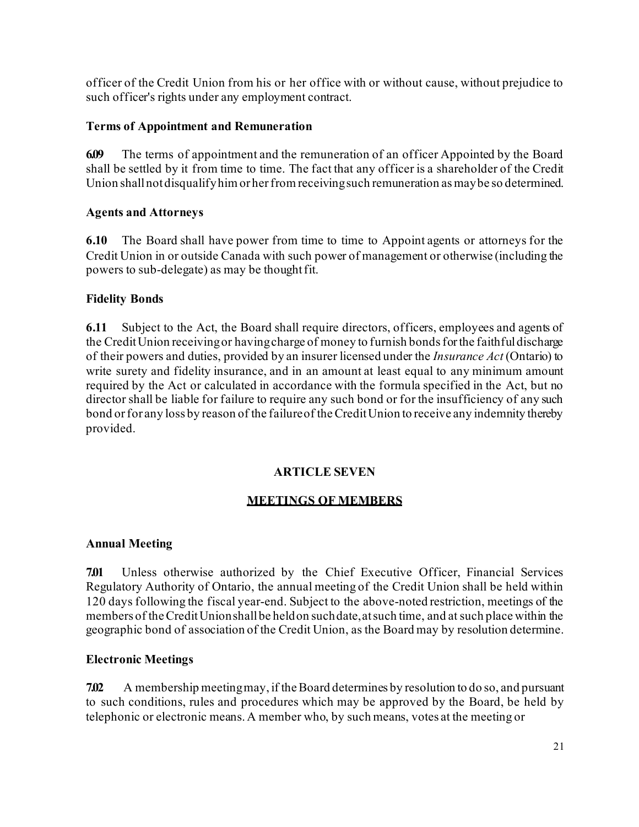officer of the Credit Union from his or her office with or without cause, without prejudice to such officer's rights under any employment contract.

## **Terms of Appointment and Remuneration**

**6.09** The terms of appointment and the remuneration of an officer Appointed by the Board shall be settled by it from time to time. The fact that any officer is a shareholder of the Credit Union shall not disqualify him or her from receiving such remuneration as may be so determined.

## **Agents and Attorneys**

**6.10** The Board shall have power from time to time to Appoint agents or attorneys for the Credit Union in or outside Canada with such power of management or otherwise (including the powers to sub-delegate) as may be thought fit.

## **Fidelity Bonds**

**6.11** Subject to the Act, the Board shall require directors, officers, employees and agents of the Credit Union receiving or having charge of money to furnish bonds for the faithful discharge of their powers and duties, provided by an insurer licensed under the *Insurance Act* (Ontario) to write surety and fidelity insurance, and in an amount at least equal to any minimum amount required by the Act or calculated in accordance with the formula specified in the Act, but no director shall be liable for failure to require any such bond or for the insufficiency of any such bond or for any loss by reason of the failure of the Credit Union to receive any indemnity thereby provided.

## **ARTICLE SEVEN**

# **MEETINGS OF MEMBERS**

## **Annual Meeting**

**7.01** Unless otherwise authorized by the Chief Executive Officer, Financial Services Regulatory Authority of Ontario, the annual meeting of the Credit Union shall be held within 120 days following the fiscal year-end. Subject to the above-noted restriction, meetings of the members of theCreditUnionshallbe heldon suchdate,atsuch time, and at such place within the geographic bond of association of the Credit Union, as the Board may by resolution determine.

## **Electronic Meetings**

**7.02** A membership meeting may, if the Board determines by resolution to do so, and pursuant to such conditions, rules and procedures which may be approved by the Board, be held by telephonic or electronic means. A member who, by such means, votes at the meeting or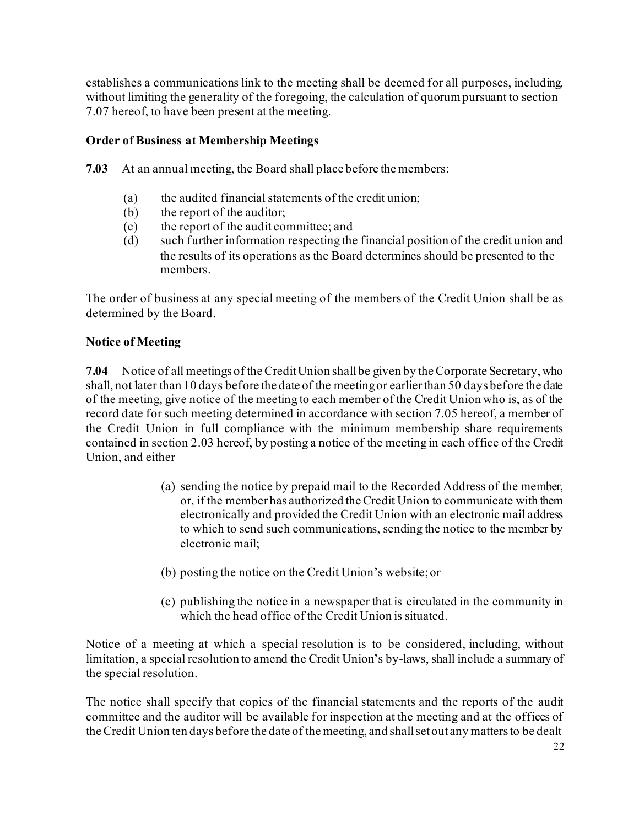establishes a communications link to the meeting shall be deemed for all purposes, including, without limiting the generality of the foregoing, the calculation of quorum pursuant to section 7.07 hereof, to have been present at the meeting.

## **Order of Business at Membership Meetings**

**7.03** At an annual meeting, the Board shall place before the members:

- (a) the audited financial statements of the credit union;
- (b) the report of the auditor;
- (c) the report of the audit committee; and
- (d) such further information respecting the financial position of the credit union and the results of its operations as the Board determines should be presented to the members.

The order of business at any special meeting of the members of the Credit Union shall be as determined by the Board.

## **Notice of Meeting**

**7.04** Notice of all meetings of theCreditUnion shallbe given by theCorporate Secretary, who shall, not later than 10 days before the date of the meetingor earlierthan 50 days before the date of the meeting, give notice of the meeting to each member of the Credit Union who is, as of the record date for such meeting determined in accordance with section 7.05 hereof, a member of the Credit Union in full compliance with the minimum membership share requirements contained in section 2.03 hereof, by posting a notice of the meeting in each office of the Credit Union, and either

- (a) sending the notice by prepaid mail to the Recorded Address of the member, or, if the member has authorized theCredit Union to communicate with them electronically and provided the Credit Union with an electronic mail address to which to send such communications, sending the notice to the member by electronic mail;
- (b) posting the notice on the Credit Union's website; or
- (c) publishing the notice in a newspaper that is circulated in the community in which the head office of the Credit Union is situated.

Notice of a meeting at which a special resolution is to be considered, including, without limitation, a special resolution to amend the Credit Union's by-laws, shall include a summary of the special resolution.

The notice shall specify that copies of the financial statements and the reports of the audit committee and the auditor will be available for inspection at the meeting and at the offices of theCredit Union ten days before the date of the meeting, and shallsetout any mattersto be dealt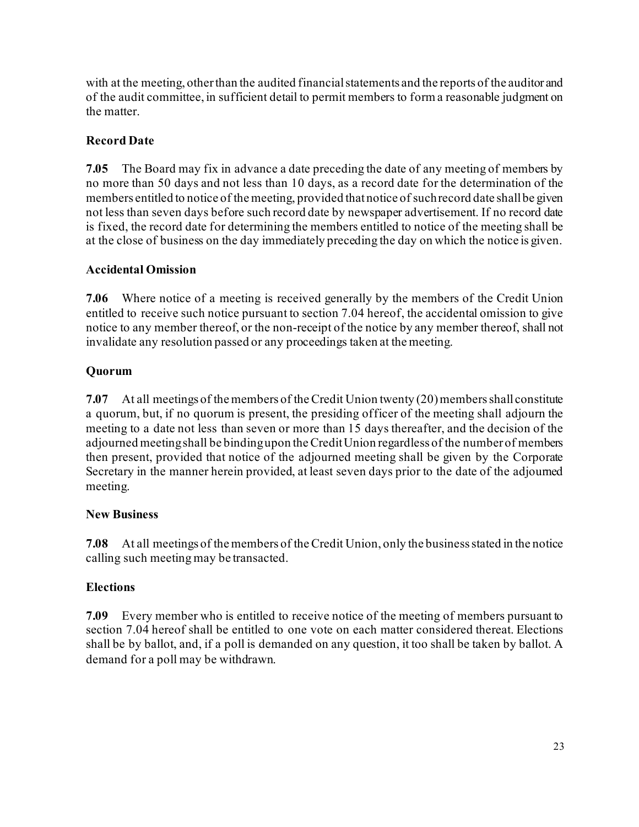with at the meeting, otherthan the audited financialstatements and the reports of the auditor and of the audit committee, in sufficient detail to permit members to form a reasonable judgment on the matter.

# **Record Date**

**7.05** The Board may fix in advance a date preceding the date of any meeting of members by no more than 50 days and not less than 10 days, as a record date for the determination of the members entitled to notice of the meeting, provided thatnotice of suchrecord date shallbe given not less than seven days before such record date by newspaper advertisement. If no record date is fixed, the record date for determining the members entitled to notice of the meeting shall be at the close of business on the day immediately preceding the day on which the notice is given.

# **Accidental Omission**

**7.06** Where notice of a meeting is received generally by the members of the Credit Union entitled to receive such notice pursuant to section 7.04 hereof, the accidental omission to give notice to any member thereof, or the non-receipt of the notice by any member thereof, shall not invalidate any resolution passed or any proceedings taken at the meeting.

# **Quorum**

**7.07** At all meetings of the members of the Credit Union twenty (20) members shall constitute a quorum, but, if no quorum is present, the presiding officer of the meeting shall adjourn the meeting to a date not less than seven or more than 15 days thereafter, and the decision of the adjourned meetingshall be bindingupon theCreditUnion regardless of the number of members then present, provided that notice of the adjourned meeting shall be given by the Corporate Secretary in the manner herein provided, at least seven days prior to the date of the adjourned meeting.

# **New Business**

**7.08** At all meetings of the members of theCredit Union, only the businessstated in the notice calling such meeting may be transacted.

# **Elections**

**7.09** Every member who is entitled to receive notice of the meeting of members pursuant to section 7.04 hereof shall be entitled to one vote on each matter considered thereat. Elections shall be by ballot, and, if a poll is demanded on any question, it too shall be taken by ballot. A demand for a poll may be withdrawn.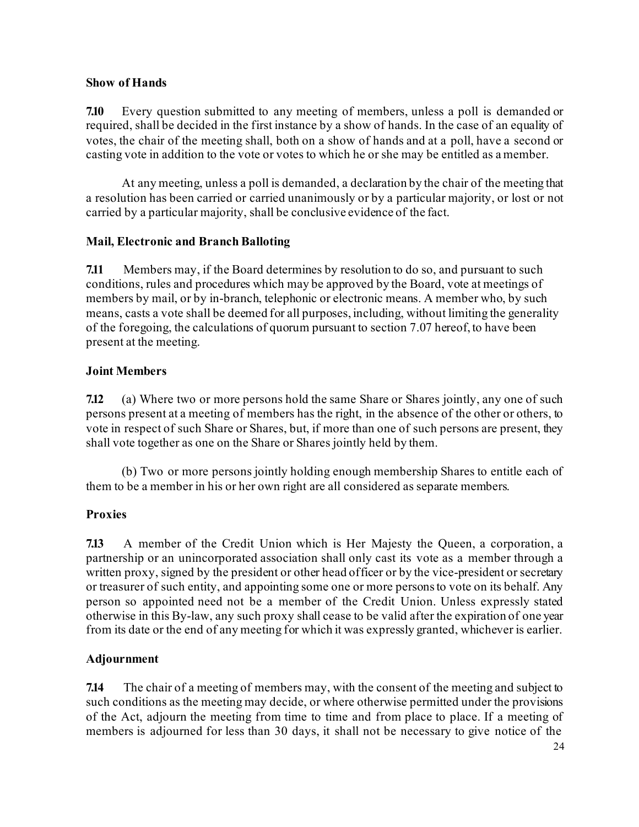#### **Show of Hands**

**7.10** Every question submitted to any meeting of members, unless a poll is demanded or required, shall be decided in the first instance by a show of hands. In the case of an equality of votes, the chair of the meeting shall, both on a show of hands and at a poll, have a second or casting vote in addition to the vote or votes to which he or she may be entitled as a member.

At any meeting, unless a poll is demanded, a declaration by the chair of the meeting that a resolution has been carried or carried unanimously or by a particular majority, or lost or not carried by a particular majority, shall be conclusive evidence of the fact.

## **Mail, Electronic and Branch Balloting**

**7.11** Members may, if the Board determines by resolution to do so, and pursuant to such conditions, rules and procedures which may be approved by the Board, vote at meetings of members by mail, or by in-branch, telephonic or electronic means. A member who, by such means, casts a vote shall be deemed for all purposes, including, without limiting the generality of the foregoing, the calculations of quorum pursuant to section 7.07 hereof, to have been present at the meeting.

## **Joint Members**

**7.12** (a) Where two or more persons hold the same Share or Shares jointly, any one of such persons present at a meeting of members has the right, in the absence of the other or others, to vote in respect of such Share or Shares, but, if more than one of such persons are present, they shall vote together as one on the Share or Shares jointly held by them.

(b) Two or more persons jointly holding enough membership Shares to entitle each of them to be a member in his or her own right are all considered as separate members.

## **Proxies**

**7.13** A member of the Credit Union which is Her Majesty the Queen, a corporation, a partnership or an unincorporated association shall only cast its vote as a member through a written proxy, signed by the president or other head officer or by the vice-president or secretary or treasurer of such entity, and appointing some one or more persons to vote on its behalf. Any person so appointed need not be a member of the Credit Union. Unless expressly stated otherwise in this By-law, any such proxy shall cease to be valid after the expiration of one year from its date or the end of any meeting for which it was expressly granted, whichever is earlier.

## **Adjournment**

**7.14** The chair of a meeting of members may, with the consent of the meeting and subject to such conditions as the meeting may decide, or where otherwise permitted under the provisions of the Act, adjourn the meeting from time to time and from place to place. If a meeting of members is adjourned for less than 30 days, it shall not be necessary to give notice of the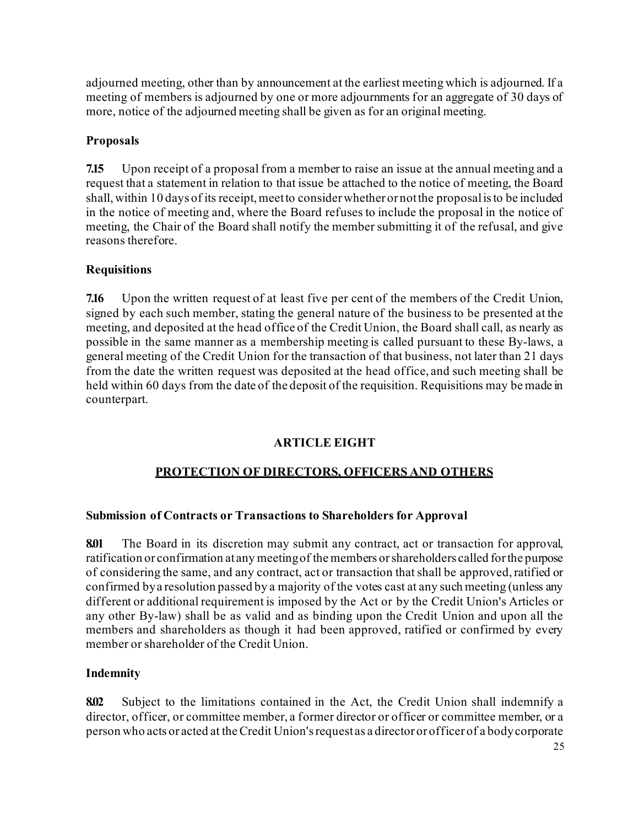adjourned meeting, other than by announcement at the earliest meeting which is adjourned. If a meeting of members is adjourned by one or more adjournments for an aggregate of 30 days of more, notice of the adjourned meeting shall be given as for an original meeting.

# **Proposals**

**7.15** Upon receipt of a proposal from a member to raise an issue at the annual meeting and a request that a statement in relation to that issue be attached to the notice of meeting, the Board shall, within 10 days of its receipt, meet to consider whether or not the proposal is to be included in the notice of meeting and, where the Board refuses to include the proposal in the notice of meeting, the Chair of the Board shall notify the member submitting it of the refusal, and give reasons therefore.

# **Requisitions**

**7.16** Upon the written request of at least five per cent of the members of the Credit Union, signed by each such member, stating the general nature of the business to be presented at the meeting, and deposited at the head office of the Credit Union, the Board shall call, as nearly as possible in the same manner as a membership meeting is called pursuant to these By-laws, a general meeting of the Credit Union for the transaction of that business, not later than 21 days from the date the written request was deposited at the head office, and such meeting shall be held within 60 days from the date of the deposit of the requisition. Requisitions may be made in counterpart.

# **ARTICLE EIGHT**

# **PROTECTION OF DIRECTORS, OFFICERS AND OTHERS**

# **Submission of Contracts or Transactions to Shareholders for Approval**

**8.01** The Board in its discretion may submit any contract, act or transaction for approval, ratification or confirmation at any meetingof the members orshareholders called forthe purpose of considering the same, and any contract, act or transaction that shall be approved, ratified or confirmed bya resolution passed by a majority of the votes cast at any such meeting (unless any different or additional requirement is imposed by the Act or by the Credit Union's Articles or any other By-law) shall be as valid and as binding upon the Credit Union and upon all the members and shareholders as though it had been approved, ratified or confirmed by every member or shareholder of the Credit Union.

## **Indemnity**

**8.02** Subject to the limitations contained in the Act, the Credit Union shall indemnify a director, officer, or committee member, a former director or officer or committee member, or a person who acts or acted at theCredit Union'srequest as a director or officer of a bodycorporate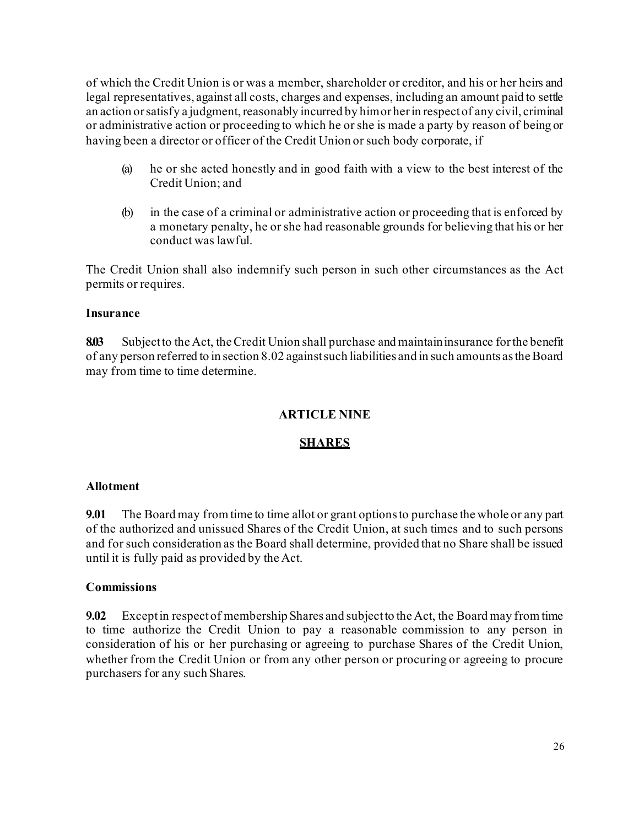of which the Credit Union is or was a member, shareholder or creditor, and his or her heirs and legal representatives, against all costs, charges and expenses, including an amount paid to settle an action or satisfy a judgment, reasonably incurred by himor her in respect of any civil, criminal or administrative action or proceeding to which he or she is made a party by reason of being or having been a director or officer of the Credit Union or such body corporate, if

- (a) he or she acted honestly and in good faith with a view to the best interest of the Credit Union; and
- (b) in the case of a criminal or administrative action or proceeding that is enforced by a monetary penalty, he or she had reasonable grounds for believing that his or her conduct was lawful.

The Credit Union shall also indemnify such person in such other circumstances as the Act permits or requires.

## **Insurance**

**8.03** Subjectto the Act, theCredit Union shall purchase and maintaininsurance forthe benefit of any person referred to in section 8.02 againstsuch liabilities and in such amounts astheBoard may from time to time determine.

#### **ARTICLE NINE**

#### **SHARES**

#### **Allotment**

**9.01** The Board may from time to time allot or grant optionsto purchase the whole or any part of the authorized and unissued Shares of the Credit Union, at such times and to such persons and for such consideration as the Board shall determine, provided that no Share shall be issued until it is fully paid as provided by the Act.

#### **Commissions**

**9.02** Exceptin respectof membership Shares and subjectto the Act, the Board may from time to time authorize the Credit Union to pay a reasonable commission to any person in consideration of his or her purchasing or agreeing to purchase Shares of the Credit Union, whether from the Credit Union or from any other person or procuring or agreeing to procure purchasers for any such Shares.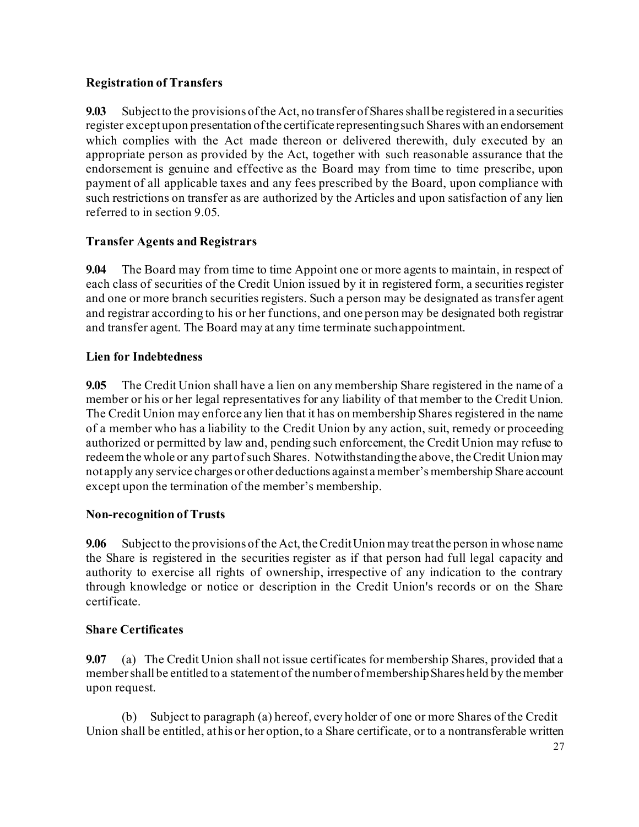## **Registration of Transfers**

**9.03** Subject to the provisions of the Act, no transfer of Shares shall be registered in a securities register except upon presentation of the certificate representing such Shares with an endorsement which complies with the Act made thereon or delivered therewith, duly executed by an appropriate person as provided by the Act, together with such reasonable assurance that the endorsement is genuine and effective as the Board may from time to time prescribe, upon payment of all applicable taxes and any fees prescribed by the Board, upon compliance with such restrictions on transfer as are authorized by the Articles and upon satisfaction of any lien referred to in section 9.05.

# **Transfer Agents and Registrars**

**9.04** The Board may from time to time Appoint one or more agents to maintain, in respect of each class of securities of the Credit Union issued by it in registered form, a securities register and one or more branch securities registers. Such a person may be designated as transfer agent and registrar according to his or her functions, and one person may be designated both registrar and transfer agent. The Board may at any time terminate suchappointment.

## **Lien for Indebtedness**

**9.05** The Credit Union shall have a lien on any membership Share registered in the name of a member or his or her legal representatives for any liability of that member to the Credit Union. The Credit Union may enforce any lien that it has on membership Shares registered in the name of a member who has a liability to the Credit Union by any action, suit, remedy or proceeding authorized or permitted by law and, pending such enforcement, the Credit Union may refuse to redeem the whole or any part of such Shares. Notwithstanding the above, the Credit Union may not apply any service charges or other deductions against a member's membership Share account except upon the termination of the member's membership.

## **Non-recognition of Trusts**

**9.06** Subjectto the provisions of the Act, theCreditUnion may treatthe person in whose name the Share is registered in the securities register as if that person had full legal capacity and authority to exercise all rights of ownership, irrespective of any indication to the contrary through knowledge or notice or description in the Credit Union's records or on the Share certificate.

## **Share Certificates**

**9.07** (a) The Credit Union shall not issue certificates for membership Shares, provided that a member shall be entitled to a statement of the number of membership Shares held by the member upon request.

(b) Subject to paragraph (a) hereof, every holder of one or more Shares of the Credit Union shall be entitled, athis or her option, to a Share certificate, or to a nontransferable written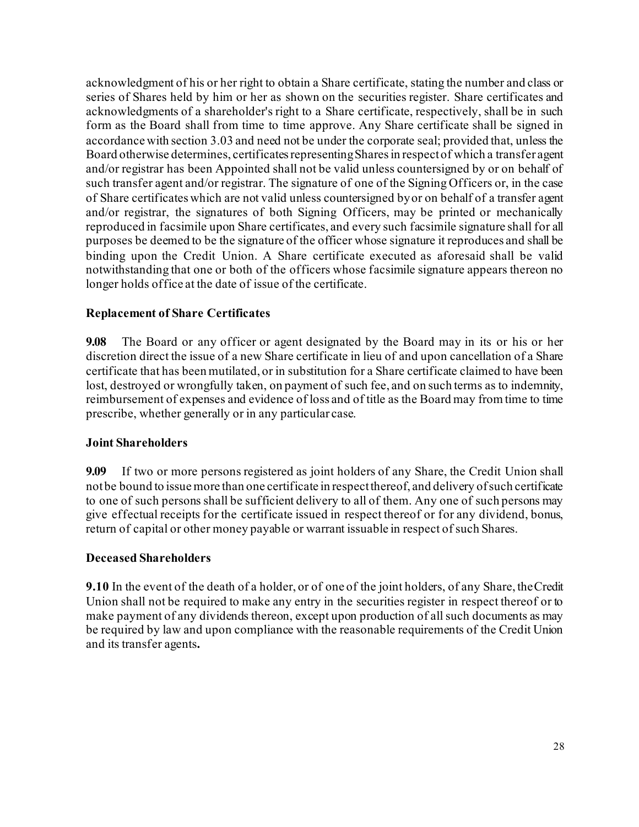acknowledgment of his or her right to obtain a Share certificate, stating the number and class or series of Shares held by him or her as shown on the securities register. Share certificates and acknowledgments of a shareholder's right to a Share certificate, respectively, shall be in such form as the Board shall from time to time approve. Any Share certificate shall be signed in accordance with section 3.03 and need not be under the corporate seal; provided that, unless the Board otherwise determines, certificates representing Shares in respect of which a transfer agent and/or registrar has been Appointed shall not be valid unless countersigned by or on behalf of such transfer agent and/or registrar. The signature of one of the Signing Officers or, in the case of Share certificateswhich are not valid unless countersigned byor on behalf of a transfer agent and/or registrar, the signatures of both Signing Officers, may be printed or mechanically reproduced in facsimile upon Share certificates, and every such facsimile signature shall for all purposes be deemed to be the signature of the officer whose signature it reproduces and shall be binding upon the Credit Union. A Share certificate executed as aforesaid shall be valid notwithstanding that one or both of the officers whose facsimile signature appears thereon no longer holds office at the date of issue of the certificate.

## **Replacement of Share Certificates**

**9.08** The Board or any officer or agent designated by the Board may in its or his or her discretion direct the issue of a new Share certificate in lieu of and upon cancellation of a Share certificate that has been mutilated, or in substitution for a Share certificate claimed to have been lost, destroyed or wrongfully taken, on payment of such fee, and on such terms as to indemnity, reimbursement of expenses and evidence of loss and of title as the Board may from time to time prescribe, whether generally or in any particular case.

#### **Joint Shareholders**

**9.09** If two or more persons registered as joint holders of any Share, the Credit Union shall notbe bound to issue more than one certificate in respectthereof, and delivery ofsuch certificate to one of such persons shall be sufficient delivery to all of them. Any one of such persons may give effectual receipts for the certificate issued in respect thereof or for any dividend, bonus, return of capital or other money payable or warrant issuable in respect of such Shares.

#### **Deceased Shareholders**

**9.10** In the event of the death of a holder, or of one of the joint holders, of any Share, theCredit Union shall not be required to make any entry in the securities register in respect thereof or to make payment of any dividends thereon, except upon production of all such documents as may be required by law and upon compliance with the reasonable requirements of the Credit Union and its transfer agents**.**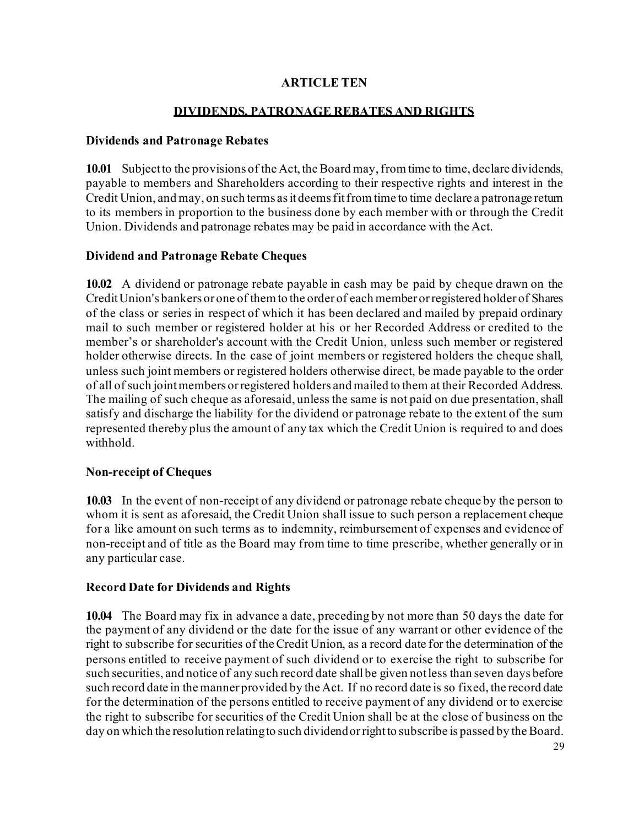#### **ARTICLE TEN**

#### **DIVIDENDS, PATRONAGE REBATES AND RIGHTS**

#### **Dividends and Patronage Rebates**

**10.01** Subject to the provisions of the Act, the Board may, from time to time, declare dividends, payable to members and Shareholders according to their respective rights and interest in the Credit Union, and may, on such terms as it deems fit from time to time declare a patronage return to its members in proportion to the business done by each member with or through the Credit Union. Dividends and patronage rebates may be paid in accordance with the Act.

#### **Dividend and Patronage Rebate Cheques**

**10.02** A dividend or patronage rebate payable in cash may be paid by cheque drawn on the CreditUnion's bankers or one of themto the order of each member orregistered holder of Shares of the class or series in respect of which it has been declared and mailed by prepaid ordinary mail to such member or registered holder at his or her Recorded Address or credited to the member's or shareholder's account with the Credit Union, unless such member or registered holder otherwise directs. In the case of joint members or registered holders the cheque shall, unless such joint members or registered holders otherwise direct, be made payable to the order of all of such jointmembers orregistered holders and mailed to them at their Recorded Address. The mailing of such cheque as aforesaid, unless the same is not paid on due presentation, shall satisfy and discharge the liability for the dividend or patronage rebate to the extent of the sum represented thereby plus the amount of any tax which the Credit Union is required to and does withhold.

#### **Non-receipt of Cheques**

**10.03** In the event of non-receipt of any dividend or patronage rebate cheque by the person to whom it is sent as aforesaid, the Credit Union shall issue to such person a replacement cheque for a like amount on such terms as to indemnity, reimbursement of expenses and evidence of non-receipt and of title as the Board may from time to time prescribe, whether generally or in any particular case.

#### **Record Date for Dividends and Rights**

**10.04** The Board may fix in advance a date, preceding by not more than 50 days the date for the payment of any dividend or the date for the issue of any warrant or other evidence of the right to subscribe for securities of theCredit Union, as a record date for the determination of the persons entitled to receive payment of such dividend or to exercise the right to subscribe for such securities, and notice of any such record date shallbe given notless than seven days before such record date in the manner provided by the Act. If no record date is so fixed, the record date for the determination of the persons entitled to receive payment of any dividend or to exercise the right to subscribe for securities of the Credit Union shall be at the close of business on the day on which the resolution relating to such dividend or right to subscribe is passed by the Board.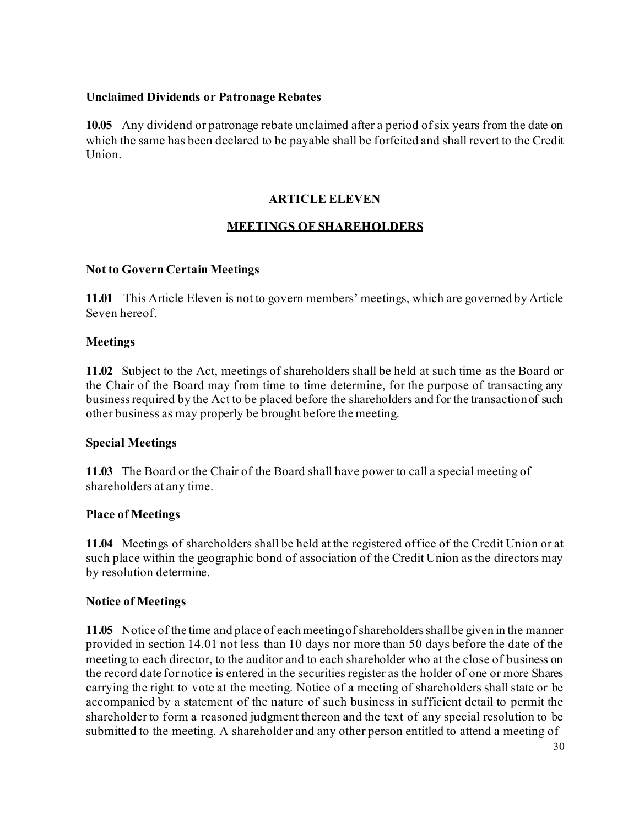#### **Unclaimed Dividends or Patronage Rebates**

**10.05** Any dividend or patronage rebate unclaimed after a period of six years from the date on which the same has been declared to be payable shall be forfeited and shall revert to the Credit Union.

## **ARTICLE ELEVEN**

## **MEETINGS OF SHAREHOLDERS**

#### **Not to Govern Certain Meetings**

**11.01** This Article Eleven is not to govern members' meetings, which are governed by Article Seven hereof.

#### **Meetings**

**11.02** Subject to the Act, meetings of shareholders shall be held at such time as the Board or the Chair of the Board may from time to time determine, for the purpose of transacting any businessrequired by the Act to be placed before the shareholders and for the transactionof such other business as may properly be brought before the meeting.

#### **Special Meetings**

**11.03** The Board or the Chair of the Board shall have power to call a special meeting of shareholders at any time.

#### **Place of Meetings**

**11.04** Meetings of shareholders shall be held at the registered office of the Credit Union or at such place within the geographic bond of association of the Credit Union as the directors may by resolution determine.

#### **Notice of Meetings**

**11.05** Notice of the time and place of each meetingof shareholdersshallbe given in the manner provided in section 14.01 not less than 10 days nor more than 50 days before the date of the meeting to each director, to the auditor and to each shareholder who at the close of business on the record date for notice is entered in the securities register as the holder of one or more Shares carrying the right to vote at the meeting. Notice of a meeting of shareholders shall state or be accompanied by a statement of the nature of such business in sufficient detail to permit the shareholder to form a reasoned judgment thereon and the text of any special resolution to be submitted to the meeting. A shareholder and any other person entitled to attend a meeting of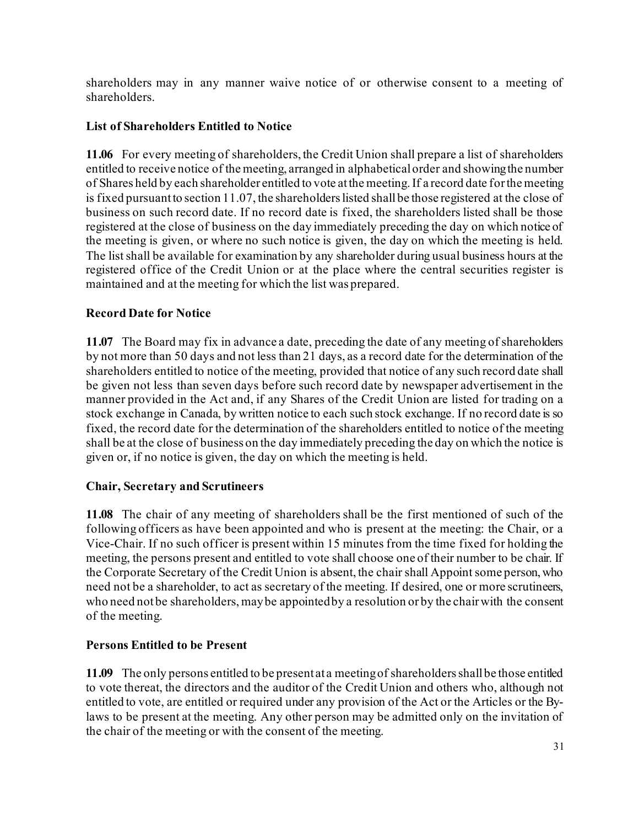shareholders may in any manner waive notice of or otherwise consent to a meeting of shareholders.

## **List of Shareholders Entitled to Notice**

**11.06** For every meeting of shareholders, the Credit Union shall prepare a list of shareholders entitled to receive notice of the meeting, arranged in alphabeticalorder and showingthe number of Shares held by each shareholder entitled to vote at the meeting. If a record date for the meeting is fixed pursuant to section 11.07, the shareholders listed shall be those registered at the close of business on such record date. If no record date is fixed, the shareholders listed shall be those registered at the close of business on the day immediately preceding the day on which notice of the meeting is given, or where no such notice is given, the day on which the meeting is held. The list shall be available for examination by any shareholder during usual business hours at the registered office of the Credit Union or at the place where the central securities register is maintained and at the meeting for which the list was prepared.

## **Record Date for Notice**

**11.07** The Board may fix in advance a date, preceding the date of any meeting of shareholders by not more than 50 days and not less than 21 days, as a record date for the determination of the shareholders entitled to notice of the meeting, provided that notice of any such record date shall be given not less than seven days before such record date by newspaper advertisement in the manner provided in the Act and, if any Shares of the Credit Union are listed for trading on a stock exchange in Canada, by written notice to each such stock exchange. If no record date is so fixed, the record date for the determination of the shareholders entitled to notice of the meeting shall be at the close of business on the day immediately preceding the day on which the notice is given or, if no notice is given, the day on which the meeting is held.

## **Chair, Secretary and Scrutineers**

**11.08** The chair of any meeting of shareholders shall be the first mentioned of such of the following officers as have been appointed and who is present at the meeting: the Chair, or a Vice-Chair. If no such officer is present within 15 minutes from the time fixed for holding the meeting, the persons present and entitled to vote shall choose one of their number to be chair. If the Corporate Secretary of the Credit Union is absent, the chair shall Appoint some person, who need not be a shareholder, to act as secretary of the meeting. If desired, one or more scrutineers, who need not be shareholders, may be appointed by a resolution or by the chair with the consent of the meeting.

## **Persons Entitled to be Present**

**11.09** The only persons entitled to be present at a meetingof shareholdersshallbe those entitled to vote thereat, the directors and the auditor of the Credit Union and others who, although not entitled to vote, are entitled or required under any provision of the Act or the Articles or the Bylaws to be present at the meeting. Any other person may be admitted only on the invitation of the chair of the meeting or with the consent of the meeting.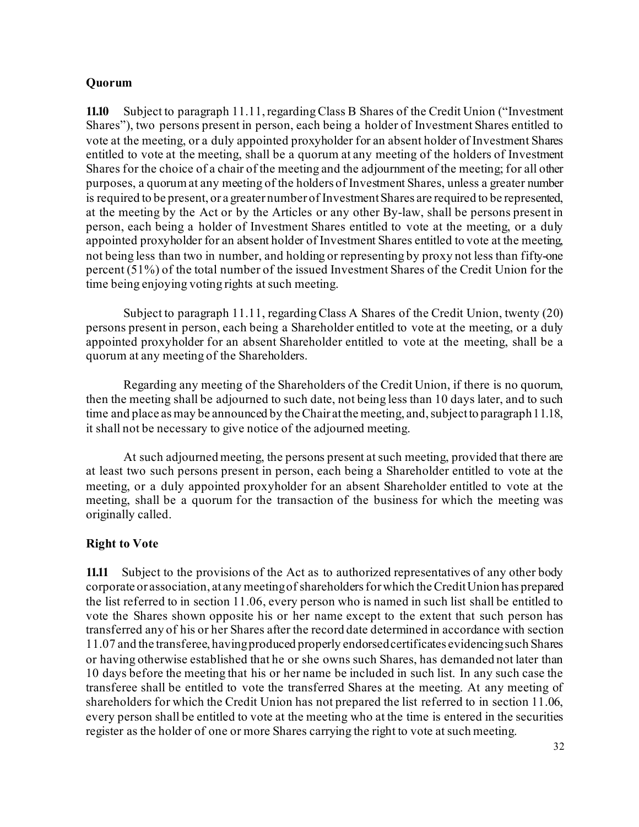#### **Quorum**

**11.10** Subject to paragraph 11.11, regarding Class B Shares of the Credit Union ("Investment Shares"), two persons present in person, each being a holder of Investment Shares entitled to vote at the meeting, or a duly appointed proxyholder for an absent holder of Investment Shares entitled to vote at the meeting, shall be a quorum at any meeting of the holders of Investment Shares for the choice of a chair of the meeting and the adjournment of the meeting; for all other purposes, a quorum at any meeting of the holders of Investment Shares, unless a greater number is required to be present, or a greater number of InvestmentShares are required to be represented, at the meeting by the Act or by the Articles or any other By-law, shall be persons present in person, each being a holder of Investment Shares entitled to vote at the meeting, or a duly appointed proxyholder for an absent holder of Investment Shares entitled to vote at the meeting, not being less than two in number, and holding or representing by proxy not less than fifty-one percent (51%) of the total number of the issued Investment Shares of the Credit Union for the time being enjoying voting rights at such meeting.

Subject to paragraph 11.11, regarding Class A Shares of the Credit Union, twenty (20) persons present in person, each being a Shareholder entitled to vote at the meeting, or a duly appointed proxyholder for an absent Shareholder entitled to vote at the meeting, shall be a quorum at any meeting of the Shareholders.

Regarding any meeting of the Shareholders of the Credit Union, if there is no quorum, then the meeting shall be adjourned to such date, not being less than 10 days later, and to such time and place as may be announced by the Chair at the meeting, and, subject to paragraph 11.18, it shall not be necessary to give notice of the adjourned meeting.

At such adjourned meeting, the persons present at such meeting, provided that there are at least two such persons present in person, each being a Shareholder entitled to vote at the meeting, or a duly appointed proxyholder for an absent Shareholder entitled to vote at the meeting, shall be a quorum for the transaction of the business for which the meeting was originally called.

## **Right to Vote**

**11.11** Subject to the provisions of the Act as to authorized representatives of any other body corporate or association, at any meetingof shareholdersforwhich theCreditUnion has prepared the list referred to in section 11.06, every person who is named in such list shall be entitled to vote the Shares shown opposite his or her name except to the extent that such person has transferred any of his or her Shares after the record date determined in accordance with section 11.07 and the transferee, havingproduced properly endorsedcertificates evidencingsuch Shares or having otherwise established that he or she owns such Shares, has demanded not later than 10 days before the meeting that his or her name be included in such list. In any such case the transferee shall be entitled to vote the transferred Shares at the meeting. At any meeting of shareholders for which the Credit Union has not prepared the list referred to in section 11.06, every person shall be entitled to vote at the meeting who at the time is entered in the securities register as the holder of one or more Shares carrying the right to vote at such meeting.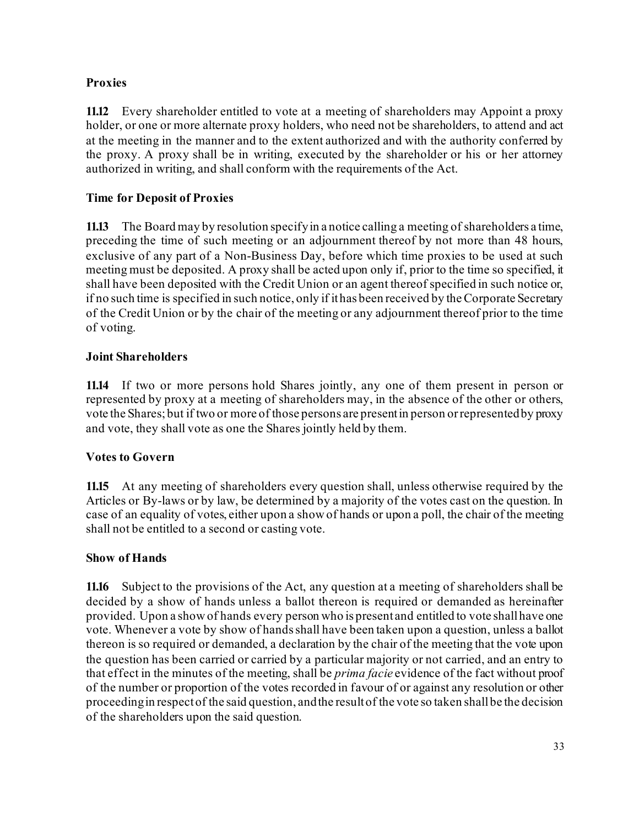## **Proxies**

**11.12** Every shareholder entitled to vote at a meeting of shareholders may Appoint a proxy holder, or one or more alternate proxy holders, who need not be shareholders, to attend and act at the meeting in the manner and to the extent authorized and with the authority conferred by the proxy. A proxy shall be in writing, executed by the shareholder or his or her attorney authorized in writing, and shall conform with the requirements of the Act.

## **Time for Deposit of Proxies**

**11.13** The Board may by resolution specifyin a notice calling a meeting of shareholders a time, preceding the time of such meeting or an adjournment thereof by not more than 48 hours, exclusive of any part of a Non-Business Day, before which time proxies to be used at such meeting must be deposited. A proxy shall be acted upon only if, prior to the time so specified, it shall have been deposited with the Credit Union or an agent thereof specified in such notice or, if no such time is specified in such notice, only if it has been received by the Corporate Secretary of the Credit Union or by the chair of the meeting or any adjournment thereof prior to the time of voting.

## **Joint Shareholders**

**11.14** If two or more persons hold Shares jointly, any one of them present in person or represented by proxy at a meeting of shareholders may, in the absence of the other or others, vote the Shares;but if two or more of those persons are presentin person orrepresentedby proxy and vote, they shall vote as one the Shares jointly held by them.

## **Votes to Govern**

**11.15** At any meeting of shareholders every question shall, unless otherwise required by the Articles or By-laws or by law, be determined by a majority of the votes cast on the question. In case of an equality of votes, either upon a show of hands or upon a poll, the chair of the meeting shall not be entitled to a second or casting vote.

## **Show of Hands**

**11.16** Subject to the provisions of the Act, any question at a meeting of shareholders shall be decided by a show of hands unless a ballot thereon is required or demanded as hereinafter provided. Upon a show of hands every person who is present and entitled to vote shallhave one vote. Whenever a vote by show of hands shall have been taken upon a question, unless a ballot thereon is so required or demanded, a declaration by the chair of the meeting that the vote upon the question has been carried or carried by a particular majority or not carried, and an entry to that effect in the minutes of the meeting, shall be *prima facie* evidence of the fact without proof of the number or proportion of the votes recorded in favour of or against any resolution or other proceedingin respectof the said question, andthe resultof the vote so taken shallbe the decision of the shareholders upon the said question.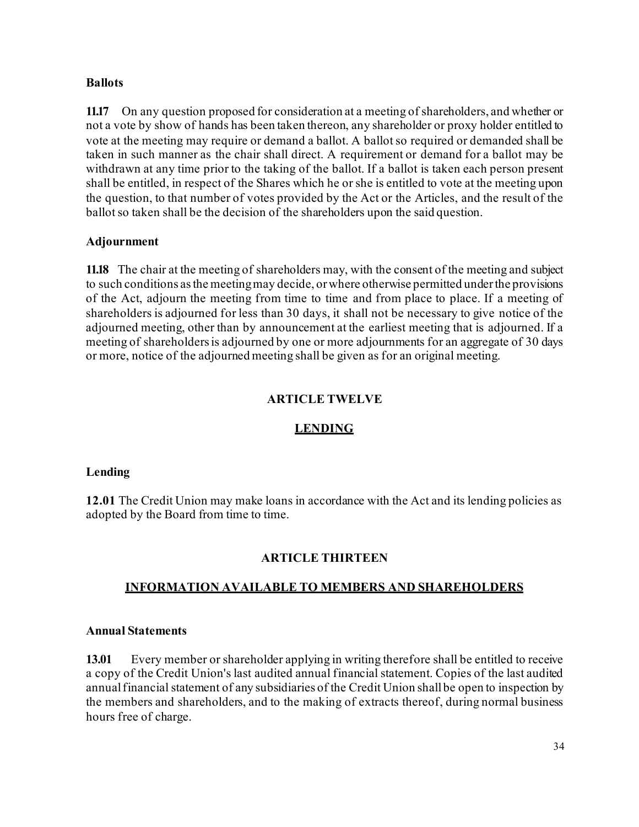#### **Ballots**

**11.17** On any question proposed for consideration at a meeting of shareholders, and whether or not a vote by show of hands has been taken thereon, any shareholder or proxy holder entitled to vote at the meeting may require or demand a ballot. A ballot so required or demanded shall be taken in such manner as the chair shall direct. A requirement or demand for a ballot may be withdrawn at any time prior to the taking of the ballot. If a ballot is taken each person present shall be entitled, in respect of the Shares which he or she is entitled to vote at the meeting upon the question, to that number of votes provided by the Act or the Articles, and the result of the ballot so taken shall be the decision of the shareholders upon the said question.

#### **Adjournment**

**11.18** The chair at the meeting of shareholders may, with the consent of the meeting and subject to such conditions asthe meetingmay decide, orwhere otherwise permitted underthe provisions of the Act, adjourn the meeting from time to time and from place to place. If a meeting of shareholders is adjourned for less than 30 days, it shall not be necessary to give notice of the adjourned meeting, other than by announcement at the earliest meeting that is adjourned. If a meeting of shareholders is adjourned by one or more adjournments for an aggregate of 30 days or more, notice of the adjourned meeting shall be given as for an original meeting.

## **ARTICLE TWELVE**

## **LENDING**

#### **Lending**

**12.01** The Credit Union may make loans in accordance with the Act and its lending policies as adopted by the Board from time to time.

## **ARTICLE THIRTEEN**

#### **INFORMATION AVAILABLE TO MEMBERS AND SHAREHOLDERS**

#### **Annual Statements**

**13.01** Every member or shareholder applying in writing therefore shall be entitled to receive a copy of the Credit Union's last audited annual financial statement. Copies of the last audited annual financial statement of any subsidiaries of the Credit Union shall be open to inspection by the members and shareholders, and to the making of extracts thereof, during normal business hours free of charge.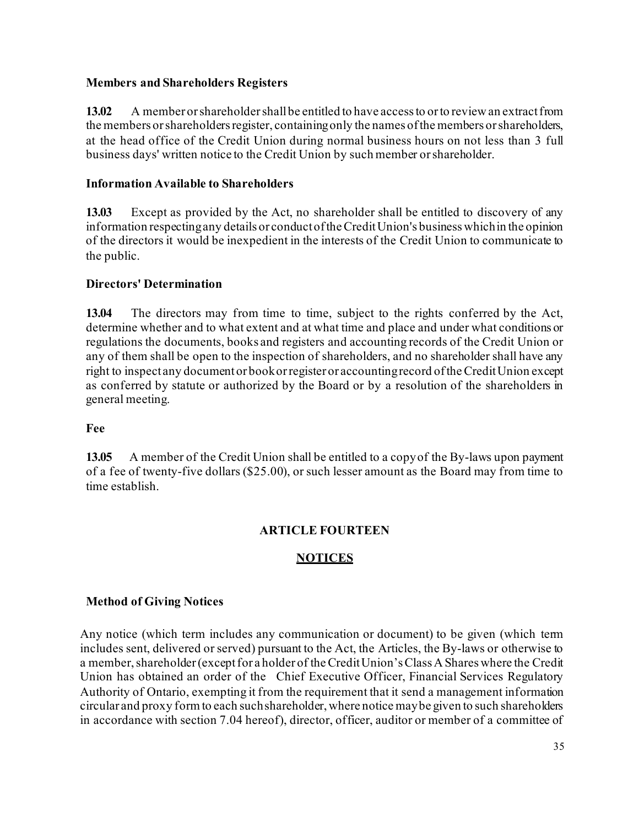#### **Members and Shareholders Registers**

**13.02** A member or shareholder shall be entitled to have access to or to review an extract from the members or shareholders register, containing only the names of the members or shareholders, at the head office of the Credit Union during normal business hours on not less than 3 full business days' written notice to the Credit Union by such member orshareholder.

## **Information Available to Shareholders**

**13.03** Except as provided by the Act, no shareholder shall be entitled to discovery of any information respectingany details or conductoftheCreditUnion's businesswhichin the opinion of the directors it would be inexpedient in the interests of the Credit Union to communicate to the public.

## **Directors' Determination**

**13.04** The directors may from time to time, subject to the rights conferred by the Act, determine whether and to what extent and at what time and place and under what conditions or regulations the documents, books and registers and accounting records of the Credit Union or any of them shall be open to the inspection of shareholders, and no shareholder shall have any right to inspect any documentor bookorregister or accountingrecord oftheCreditUnion except as conferred by statute or authorized by the Board or by a resolution of the shareholders in general meeting.

## **Fee**

**13.05** A member of the Credit Union shall be entitled to a copyof the By-laws upon payment of a fee of twenty-five dollars (\$25.00), or such lesser amount as the Board may from time to time establish.

# **ARTICLE FOURTEEN**

## **NOTICES**

## **Method of Giving Notices**

Any notice (which term includes any communication or document) to be given (which term includes sent, delivered or served) pursuant to the Act, the Articles, the By-laws or otherwise to a member, shareholder (except for a holder of the Credit Union's Class A Shares where the Credit Union has obtained an order of the Chief Executive Officer, Financial Services Regulatory Authority of Ontario, exempting it from the requirement that it send a management information circular and proxy form to each such shareholder, where notice may be given to such shareholders in accordance with section 7.04 hereof), director, officer, auditor or member of a committee of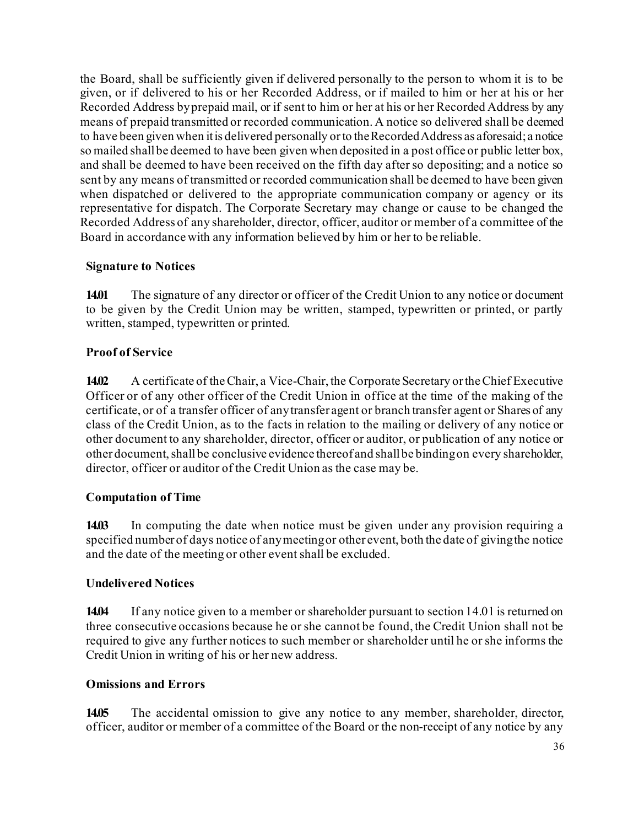the Board, shall be sufficiently given if delivered personally to the person to whom it is to be given, or if delivered to his or her Recorded Address, or if mailed to him or her at his or her Recorded Address byprepaid mail, or if sent to him or her at his or her Recorded Address by any means of prepaid transmitted or recorded communication. A notice so delivered shall be deemed to have been given when it is delivered personally orto theRecordedAddress as aforesaid; a notice so mailed shallbe deemed to have been given when deposited in a post office or public letter box, and shall be deemed to have been received on the fifth day after so depositing; and a notice so sent by any means of transmitted or recorded communication shall be deemed to have been given when dispatched or delivered to the appropriate communication company or agency or its representative for dispatch. The Corporate Secretary may change or cause to be changed the Recorded Address of any shareholder, director, officer, auditor or member of a committee of the Board in accordance with any information believed by him or her to be reliable.

#### **Signature to Notices**

**14.01** The signature of any director or officer of the Credit Union to any notice or document to be given by the Credit Union may be written, stamped, typewritten or printed, or partly written, stamped, typewritten or printed.

#### **Proof of Service**

**14.02** A certificate of theChair, a Vice-Chair, the Corporate Secretary ortheChief Executive Officer or of any other officer of the Credit Union in office at the time of the making of the certificate, or of a transfer officer of anytransfer agent or branch transfer agent or Shares of any class of the Credit Union, as to the facts in relation to the mailing or delivery of any notice or other document to any shareholder, director, officer or auditor, or publication of any notice or other document, shall be conclusive evidence thereof and shall be binding on every shareholder, director, officer or auditor of the Credit Union as the case may be.

#### **Computation of Time**

**14.03** In computing the date when notice must be given under any provision requiring a specified number of days notice of anymeetingor other event, both the date of givingthe notice and the date of the meeting or other event shall be excluded.

## **Undelivered Notices**

**14.04** If any notice given to a member or shareholder pursuant to section 14.01 is returned on three consecutive occasions because he or she cannot be found, the Credit Union shall not be required to give any further notices to such member or shareholder until he or she informs the Credit Union in writing of his or her new address.

#### **Omissions and Errors**

**14.05** The accidental omission to give any notice to any member, shareholder, director, officer, auditor or member of a committee of the Board or the non-receipt of any notice by any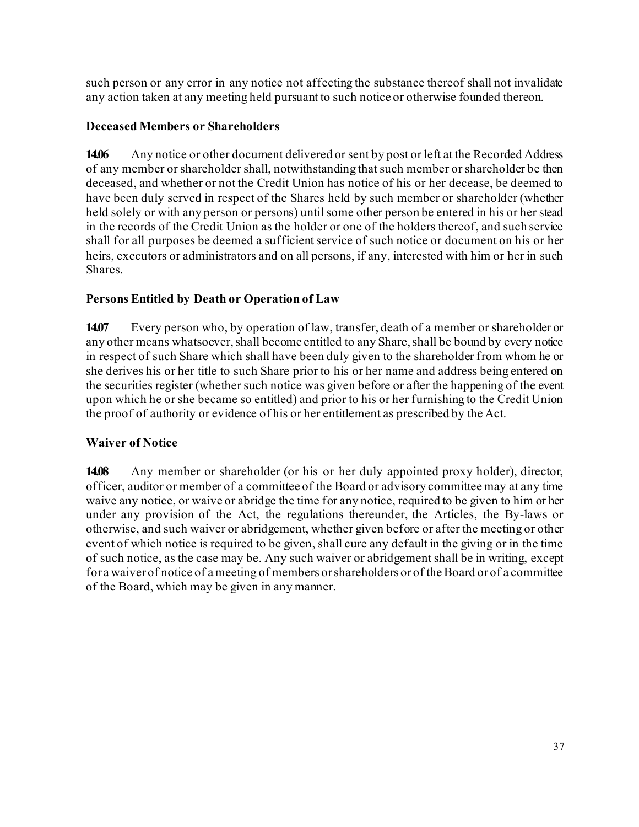such person or any error in any notice not affecting the substance thereof shall not invalidate any action taken at any meeting held pursuant to such notice or otherwise founded thereon.

## **Deceased Members or Shareholders**

**14.06** Any notice or other document delivered or sent by post or left at the Recorded Address of any member or shareholder shall, notwithstanding that such member or shareholder be then deceased, and whether or not the Credit Union has notice of his or her decease, be deemed to have been duly served in respect of the Shares held by such member or shareholder (whether held solely or with any person or persons) until some other person be entered in his or her stead in the records of the Credit Union as the holder or one of the holders thereof, and such service shall for all purposes be deemed a sufficient service of such notice or document on his or her heirs, executors or administrators and on all persons, if any, interested with him or her in such Shares.

# **Persons Entitled by Death or Operation of Law**

**14.07** Every person who, by operation of law, transfer, death of a member or shareholder or any other means whatsoever, shall become entitled to any Share, shall be bound by every notice in respect of such Share which shall have been duly given to the shareholder from whom he or she derives his or her title to such Share prior to his or her name and address being entered on the securities register (whether such notice was given before or after the happening of the event upon which he or she became so entitled) and prior to his or her furnishing to the Credit Union the proof of authority or evidence of his or her entitlement as prescribed by the Act.

# **Waiver of Notice**

**14.08** Any member or shareholder (or his or her duly appointed proxy holder), director, officer, auditor or member of a committee of the Board or advisory committee may at any time waive any notice, or waive or abridge the time for any notice, required to be given to him or her under any provision of the Act, the regulations thereunder, the Articles, the By-laws or otherwise, and such waiver or abridgement, whether given before or after the meeting or other event of which notice is required to be given, shall cure any default in the giving or in the time of such notice, as the case may be. Any such waiver or abridgement shall be in writing, except for a waiver of notice of a meeting of members or shareholders or of the Board or of a committee of the Board, which may be given in any manner.